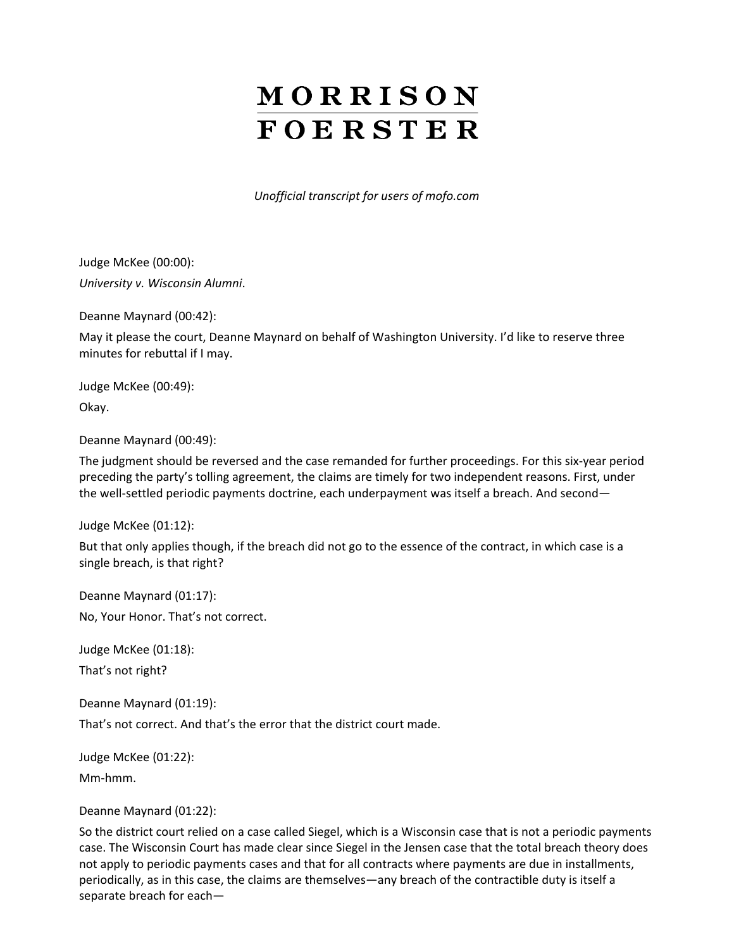# MORRISON **FOERSTER**

*Unofficial transcript for users of mofo.com*

Judge McKee (00:00): *University v. Wisconsin Alumni*.

Deanne Maynard (00:42):

May it please the court, Deanne Maynard on behalf of Washington University. I'd like to reserve three minutes for rebuttal if I may.

Judge McKee (00:49):

Okay.

Deanne Maynard (00:49):

The judgment should be reversed and the case remanded for further proceedings. For this six-year period preceding the party's tolling agreement, the claims are timely for two independent reasons. First, under the well-settled periodic payments doctrine, each underpayment was itself a breach. And second—

Judge McKee (01:12):

But that only applies though, if the breach did not go to the essence of the contract, in which case is a single breach, is that right?

Deanne Maynard (01:17):

No, Your Honor. That's not correct.

Judge McKee (01:18):

That's not right?

Deanne Maynard (01:19):

That's not correct. And that's the error that the district court made.

Judge McKee (01:22): Mm-hmm.

# Deanne Maynard (01:22):

So the district court relied on a case called Siegel, which is a Wisconsin case that is not a periodic payments case. The Wisconsin Court has made clear since Siegel in the Jensen case that the total breach theory does not apply to periodic payments cases and that for all contracts where payments are due in installments, periodically, as in this case, the claims are themselves—any breach of the contractible duty is itself a separate breach for each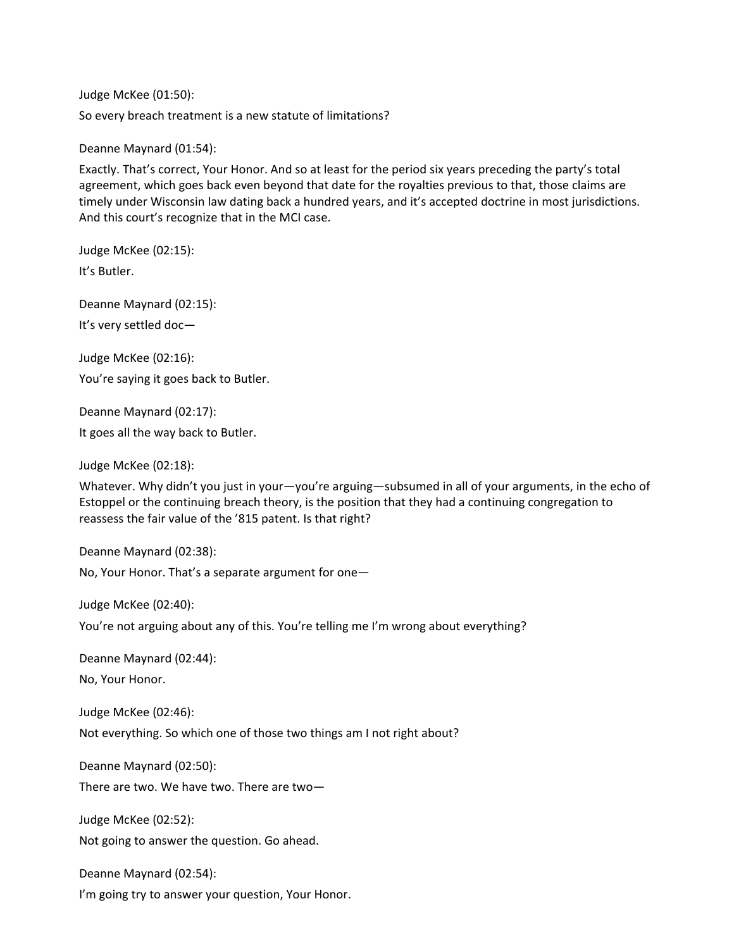Judge McKee (01:50): So every breach treatment is a new statute of limitations?

Deanne Maynard (01:54):

Exactly. That's correct, Your Honor. And so at least for the period six years preceding the party's total agreement, which goes back even beyond that date for the royalties previous to that, those claims are timely under Wisconsin law dating back a hundred years, and it's accepted doctrine in most jurisdictions. And this court's recognize that in the MCI case.

Judge McKee (02:15):

It's Butler.

Deanne Maynard (02:15): It's very settled doc—

Judge McKee (02:16): You're saying it goes back to Butler.

Deanne Maynard (02:17):

It goes all the way back to Butler.

Judge McKee (02:18):

Whatever. Why didn't you just in your—you're arguing—subsumed in all of your arguments, in the echo of Estoppel or the continuing breach theory, is the position that they had a continuing congregation to reassess the fair value of the '815 patent. Is that right?

Deanne Maynard (02:38):

No, Your Honor. That's a separate argument for one—

Judge McKee (02:40):

You're not arguing about any of this. You're telling me I'm wrong about everything?

Deanne Maynard (02:44):

No, Your Honor.

Judge McKee (02:46):

Not everything. So which one of those two things am I not right about?

Deanne Maynard (02:50):

There are two. We have two. There are two—

Judge McKee (02:52):

Not going to answer the question. Go ahead.

Deanne Maynard (02:54):

I'm going try to answer your question, Your Honor.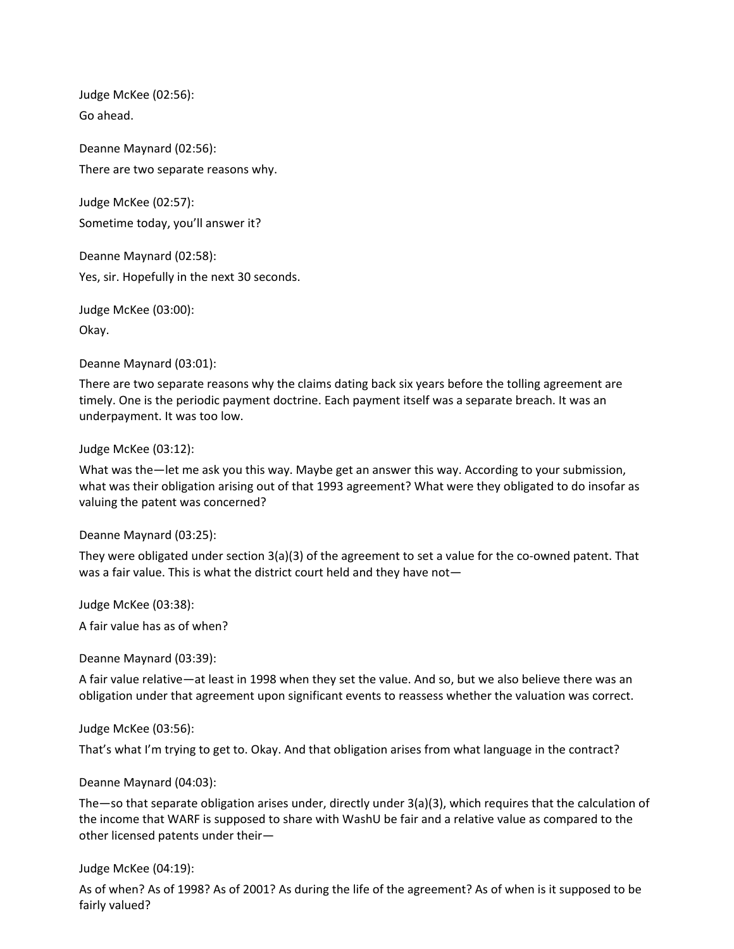Judge McKee (02:56): Go ahead.

Deanne Maynard (02:56): There are two separate reasons why.

Judge McKee (02:57): Sometime today, you'll answer it?

Deanne Maynard (02:58): Yes, sir. Hopefully in the next 30 seconds.

Judge McKee (03:00): Okay.

Deanne Maynard (03:01):

There are two separate reasons why the claims dating back six years before the tolling agreement are timely. One is the periodic payment doctrine. Each payment itself was a separate breach. It was an underpayment. It was too low.

Judge McKee (03:12):

What was the—let me ask you this way. Maybe get an answer this way. According to your submission, what was their obligation arising out of that 1993 agreement? What were they obligated to do insofar as valuing the patent was concerned?

Deanne Maynard (03:25):

They were obligated under section 3(a)(3) of the agreement to set a value for the co-owned patent. That was a fair value. This is what the district court held and they have not—

Judge McKee (03:38):

A fair value has as of when?

Deanne Maynard (03:39):

A fair value relative—at least in 1998 when they set the value. And so, but we also believe there was an obligation under that agreement upon significant events to reassess whether the valuation was correct.

Judge McKee (03:56):

That's what I'm trying to get to. Okay. And that obligation arises from what language in the contract?

Deanne Maynard (04:03):

The—so that separate obligation arises under, directly under 3(a)(3), which requires that the calculation of the income that WARF is supposed to share with WashU be fair and a relative value as compared to the other licensed patents under their—

Judge McKee (04:19):

As of when? As of 1998? As of 2001? As during the life of the agreement? As of when is it supposed to be fairly valued?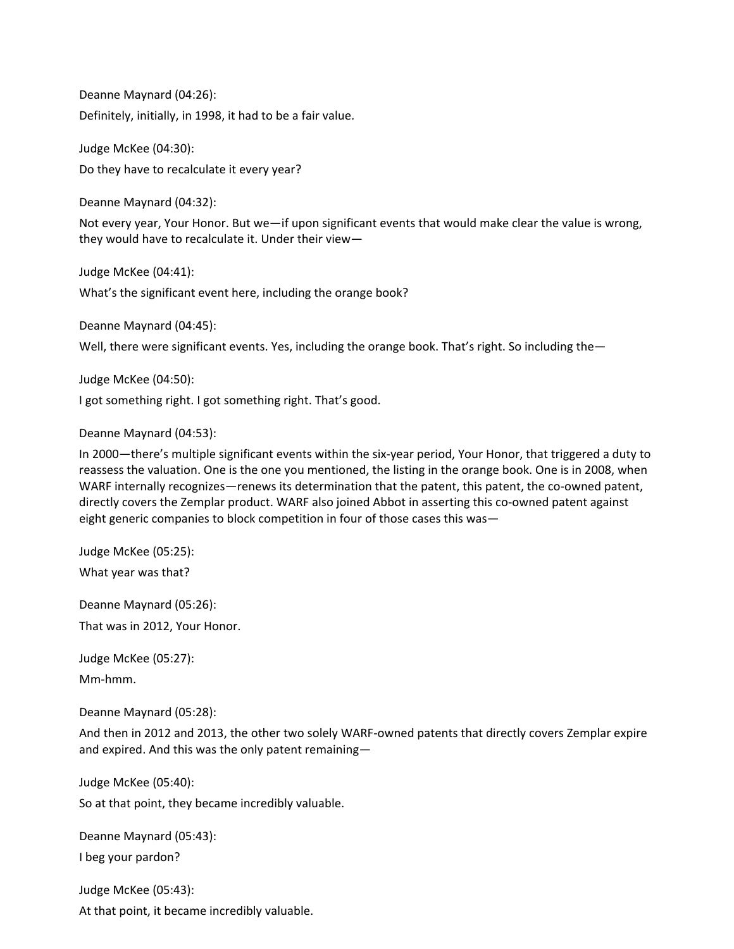Deanne Maynard (04:26): Definitely, initially, in 1998, it had to be a fair value.

Judge McKee (04:30): Do they have to recalculate it every year?

Deanne Maynard (04:32):

Not every year, Your Honor. But we—if upon significant events that would make clear the value is wrong, they would have to recalculate it. Under their view—

Judge McKee (04:41): What's the significant event here, including the orange book?

Deanne Maynard (04:45):

Well, there were significant events. Yes, including the orange book. That's right. So including the-

Judge McKee (04:50):

I got something right. I got something right. That's good.

Deanne Maynard (04:53):

In 2000—there's multiple significant events within the six-year period, Your Honor, that triggered a duty to reassess the valuation. One is the one you mentioned, the listing in the orange book. One is in 2008, when WARF internally recognizes—renews its determination that the patent, this patent, the co-owned patent, directly covers the Zemplar product. WARF also joined Abbot in asserting this co-owned patent against eight generic companies to block competition in four of those cases this was—

Judge McKee (05:25): What year was that?

Deanne Maynard (05:26):

That was in 2012, Your Honor.

Judge McKee (05:27): Mm-hmm.

Deanne Maynard (05:28):

And then in 2012 and 2013, the other two solely WARF-owned patents that directly covers Zemplar expire and expired. And this was the only patent remaining—

Judge McKee (05:40):

So at that point, they became incredibly valuable.

Deanne Maynard (05:43):

I beg your pardon?

Judge McKee (05:43):

At that point, it became incredibly valuable.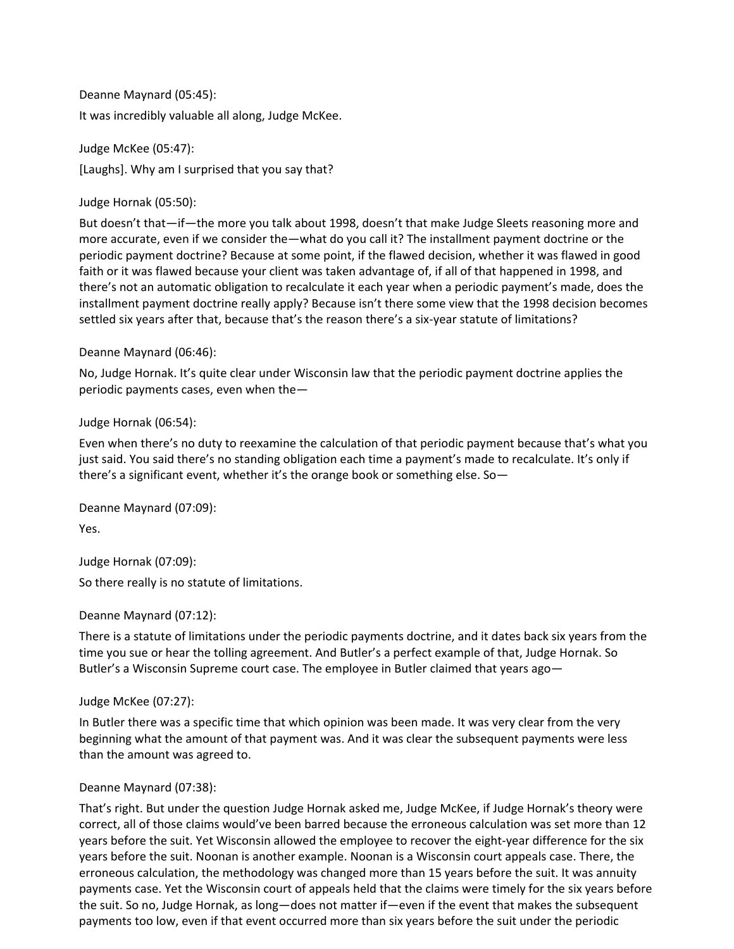Deanne Maynard (05:45): It was incredibly valuable all along, Judge McKee.

Judge McKee (05:47): [Laughs]. Why am I surprised that you say that?

Judge Hornak (05:50):

But doesn't that—if—the more you talk about 1998, doesn't that make Judge Sleets reasoning more and more accurate, even if we consider the—what do you call it? The installment payment doctrine or the periodic payment doctrine? Because at some point, if the flawed decision, whether it was flawed in good faith or it was flawed because your client was taken advantage of, if all of that happened in 1998, and there's not an automatic obligation to recalculate it each year when a periodic payment's made, does the installment payment doctrine really apply? Because isn't there some view that the 1998 decision becomes settled six years after that, because that's the reason there's a six-year statute of limitations?

# Deanne Maynard (06:46):

No, Judge Hornak. It's quite clear under Wisconsin law that the periodic payment doctrine applies the periodic payments cases, even when the—

# Judge Hornak (06:54):

Even when there's no duty to reexamine the calculation of that periodic payment because that's what you just said. You said there's no standing obligation each time a payment's made to recalculate. It's only if there's a significant event, whether it's the orange book or something else. So—

Deanne Maynard (07:09): Yes.

Judge Hornak (07:09):

So there really is no statute of limitations.

# Deanne Maynard (07:12):

There is a statute of limitations under the periodic payments doctrine, and it dates back six years from the time you sue or hear the tolling agreement. And Butler's a perfect example of that, Judge Hornak. So Butler's a Wisconsin Supreme court case. The employee in Butler claimed that years ago—

Judge McKee (07:27):

In Butler there was a specific time that which opinion was been made. It was very clear from the very beginning what the amount of that payment was. And it was clear the subsequent payments were less than the amount was agreed to.

# Deanne Maynard (07:38):

That's right. But under the question Judge Hornak asked me, Judge McKee, if Judge Hornak's theory were correct, all of those claims would've been barred because the erroneous calculation was set more than 12 years before the suit. Yet Wisconsin allowed the employee to recover the eight-year difference for the six years before the suit. Noonan is another example. Noonan is a Wisconsin court appeals case. There, the erroneous calculation, the methodology was changed more than 15 years before the suit. It was annuity payments case. Yet the Wisconsin court of appeals held that the claims were timely for the six years before the suit. So no, Judge Hornak, as long—does not matter if—even if the event that makes the subsequent payments too low, even if that event occurred more than six years before the suit under the periodic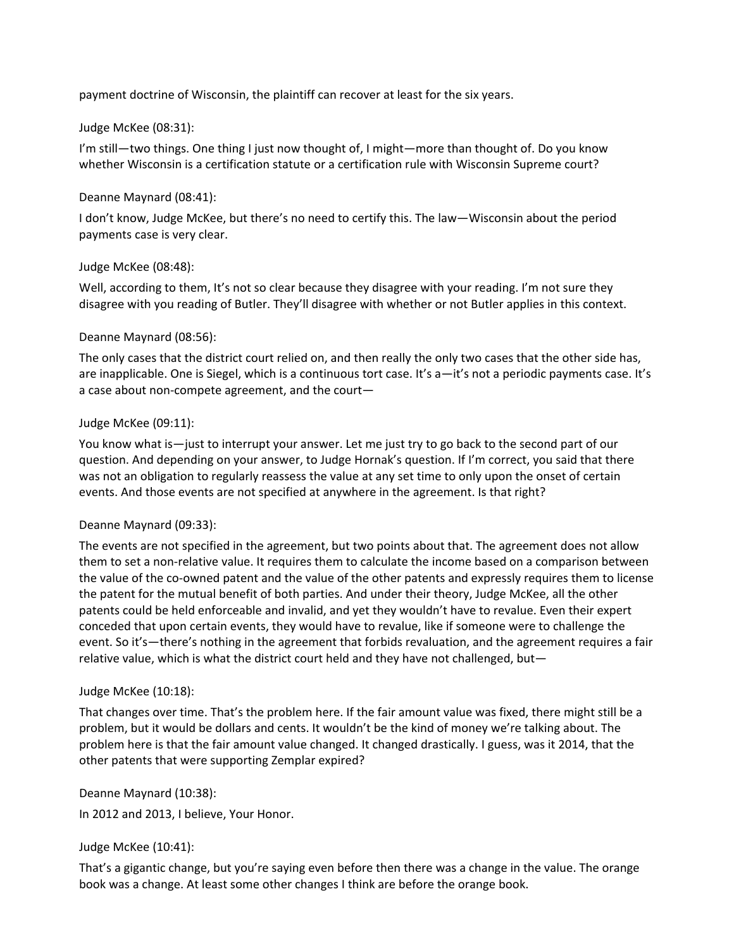payment doctrine of Wisconsin, the plaintiff can recover at least for the six years.

# Judge McKee (08:31):

I'm still—two things. One thing I just now thought of, I might—more than thought of. Do you know whether Wisconsin is a certification statute or a certification rule with Wisconsin Supreme court?

# Deanne Maynard (08:41):

I don't know, Judge McKee, but there's no need to certify this. The law—Wisconsin about the period payments case is very clear.

# Judge McKee (08:48):

Well, according to them, It's not so clear because they disagree with your reading. I'm not sure they disagree with you reading of Butler. They'll disagree with whether or not Butler applies in this context.

# Deanne Maynard (08:56):

The only cases that the district court relied on, and then really the only two cases that the other side has, are inapplicable. One is Siegel, which is a continuous tort case. It's a—it's not a periodic payments case. It's a case about non-compete agreement, and the court—

# Judge McKee (09:11):

You know what is—just to interrupt your answer. Let me just try to go back to the second part of our question. And depending on your answer, to Judge Hornak's question. If I'm correct, you said that there was not an obligation to regularly reassess the value at any set time to only upon the onset of certain events. And those events are not specified at anywhere in the agreement. Is that right?

# Deanne Maynard (09:33):

The events are not specified in the agreement, but two points about that. The agreement does not allow them to set a non-relative value. It requires them to calculate the income based on a comparison between the value of the co-owned patent and the value of the other patents and expressly requires them to license the patent for the mutual benefit of both parties. And under their theory, Judge McKee, all the other patents could be held enforceable and invalid, and yet they wouldn't have to revalue. Even their expert conceded that upon certain events, they would have to revalue, like if someone were to challenge the event. So it's—there's nothing in the agreement that forbids revaluation, and the agreement requires a fair relative value, which is what the district court held and they have not challenged, but—

# Judge McKee (10:18):

That changes over time. That's the problem here. If the fair amount value was fixed, there might still be a problem, but it would be dollars and cents. It wouldn't be the kind of money we're talking about. The problem here is that the fair amount value changed. It changed drastically. I guess, was it 2014, that the other patents that were supporting Zemplar expired?

# Deanne Maynard (10:38):

In 2012 and 2013, I believe, Your Honor.

# Judge McKee (10:41):

That's a gigantic change, but you're saying even before then there was a change in the value. The orange book was a change. At least some other changes I think are before the orange book.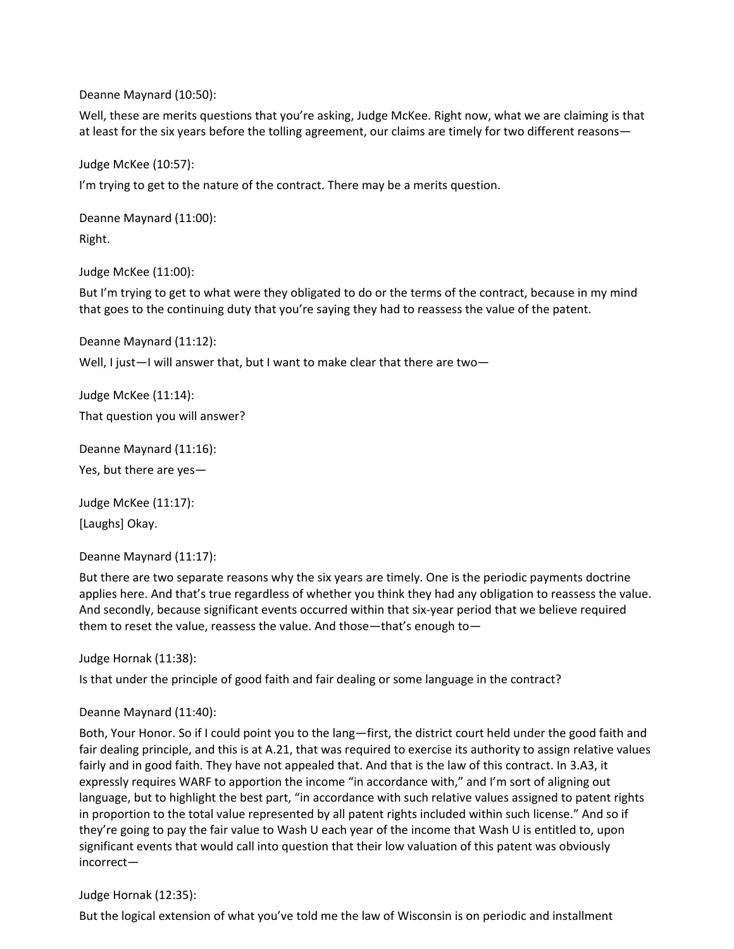Deanne Maynard (10:50):

Well, these are merits questions that you're asking, Judge McKee. Right now, what we are claiming is that at least for the six years before the tolling agreement, our claims are timely for two different reasons—

Judge McKee (10:57): I'm trying to get to the nature of the contract. There may be a merits question.

Deanne Maynard (11:00): Right.

Judge McKee (11:00):

But I'm trying to get to what were they obligated to do or the terms of the contract, because in my mind that goes to the continuing duty that you're saying they had to reassess the value of the patent.

Deanne Maynard (11:12):

Well, I just-I will answer that, but I want to make clear that there are two-

Judge McKee (11:14): That question you will answer?

Deanne Maynard (11:16):

Yes, but there are yes—

Judge McKee (11:17):

[Laughs] Okay.

Deanne Maynard (11:17):

But there are two separate reasons why the six years are timely. One is the periodic payments doctrine applies here. And that's true regardless of whether you think they had any obligation to reassess the value. And secondly, because significant events occurred within that six-year period that we believe required them to reset the value, reassess the value. And those—that's enough to—

Judge Hornak (11:38):

Is that under the principle of good faith and fair dealing or some language in the contract?

Deanne Maynard (11:40):

Both, Your Honor. So if I could point you to the lang—first, the district court held under the good faith and fair dealing principle, and this is at A.21, that was required to exercise its authority to assign relative values fairly and in good faith. They have not appealed that. And that is the law of this contract. In 3.A3, it expressly requires WARF to apportion the income "in accordance with," and I'm sort of aligning out language, but to highlight the best part, "in accordance with such relative values assigned to patent rights in proportion to the total value represented by all patent rights included within such license." And so if they're going to pay the fair value to Wash U each year of the income that Wash U is entitled to, upon significant events that would call into question that their low valuation of this patent was obviously incorrect—

# Judge Hornak (12:35):

But the logical extension of what you've told me the law of Wisconsin is on periodic and installment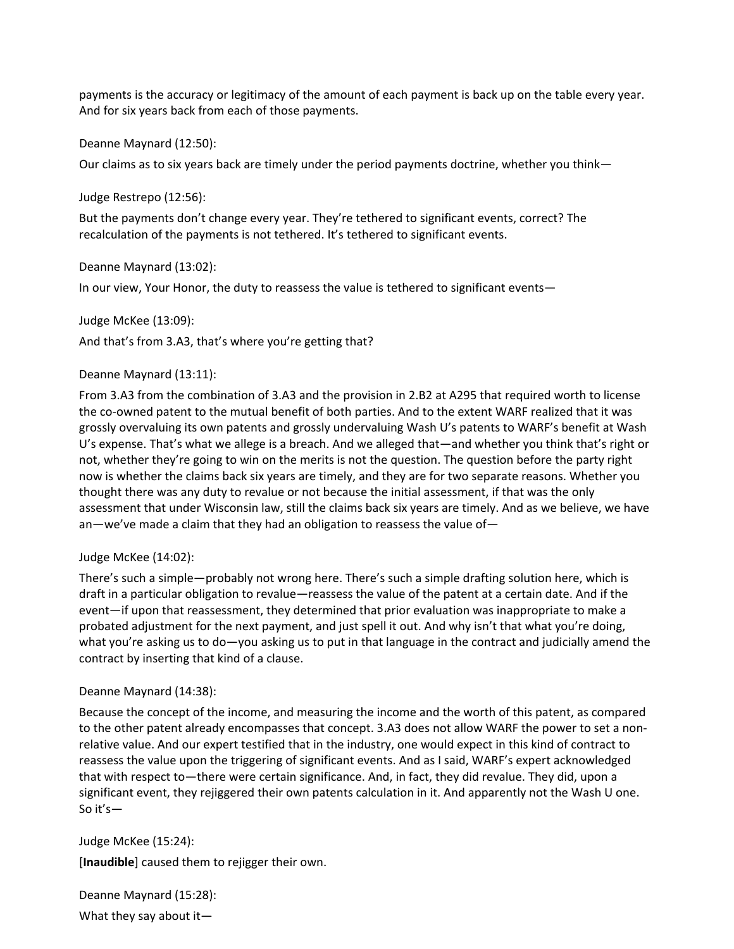payments is the accuracy or legitimacy of the amount of each payment is back up on the table every year. And for six years back from each of those payments.

Deanne Maynard (12:50):

Our claims as to six years back are timely under the period payments doctrine, whether you think—

Judge Restrepo (12:56):

But the payments don't change every year. They're tethered to significant events, correct? The recalculation of the payments is not tethered. It's tethered to significant events.

Deanne Maynard (13:02):

In our view, Your Honor, the duty to reassess the value is tethered to significant events—

Judge McKee (13:09):

And that's from 3.A3, that's where you're getting that?

# Deanne Maynard (13:11):

From 3.A3 from the combination of 3.A3 and the provision in 2.B2 at A295 that required worth to license the co-owned patent to the mutual benefit of both parties. And to the extent WARF realized that it was grossly overvaluing its own patents and grossly undervaluing Wash U's patents to WARF's benefit at Wash U's expense. That's what we allege is a breach. And we alleged that—and whether you think that's right or not, whether they're going to win on the merits is not the question. The question before the party right now is whether the claims back six years are timely, and they are for two separate reasons. Whether you thought there was any duty to revalue or not because the initial assessment, if that was the only assessment that under Wisconsin law, still the claims back six years are timely. And as we believe, we have an—we've made a claim that they had an obligation to reassess the value of—

# Judge McKee (14:02):

There's such a simple—probably not wrong here. There's such a simple drafting solution here, which is draft in a particular obligation to revalue—reassess the value of the patent at a certain date. And if the event—if upon that reassessment, they determined that prior evaluation was inappropriate to make a probated adjustment for the next payment, and just spell it out. And why isn't that what you're doing, what you're asking us to do—you asking us to put in that language in the contract and judicially amend the contract by inserting that kind of a clause.

# Deanne Maynard (14:38):

Because the concept of the income, and measuring the income and the worth of this patent, as compared to the other patent already encompasses that concept. 3.A3 does not allow WARF the power to set a nonrelative value. And our expert testified that in the industry, one would expect in this kind of contract to reassess the value upon the triggering of significant events. And as I said, WARF's expert acknowledged that with respect to—there were certain significance. And, in fact, they did revalue. They did, upon a significant event, they rejiggered their own patents calculation in it. And apparently not the Wash U one. So it's—

Judge McKee (15:24):

[**Inaudible**] caused them to rejigger their own.

Deanne Maynard (15:28): What they say about it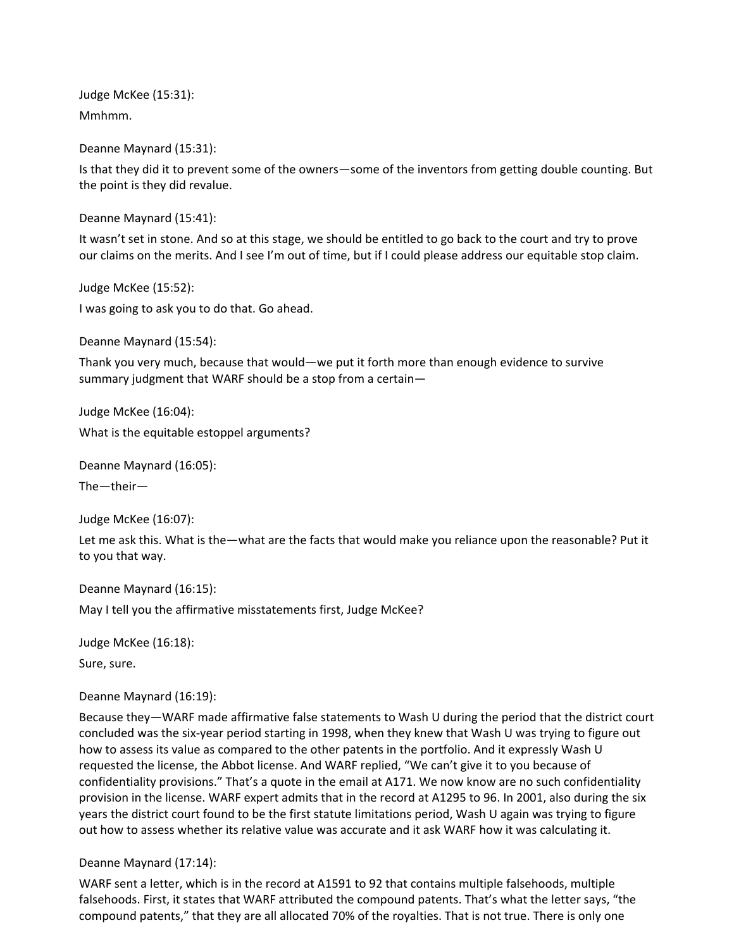Judge McKee (15:31): Mmhmm.

Deanne Maynard (15:31):

Is that they did it to prevent some of the owners—some of the inventors from getting double counting. But the point is they did revalue.

Deanne Maynard (15:41):

It wasn't set in stone. And so at this stage, we should be entitled to go back to the court and try to prove our claims on the merits. And I see I'm out of time, but if I could please address our equitable stop claim.

Judge McKee (15:52): I was going to ask you to do that. Go ahead.

Deanne Maynard (15:54):

Thank you very much, because that would—we put it forth more than enough evidence to survive summary judgment that WARF should be a stop from a certain—

Judge McKee (16:04): What is the equitable estoppel arguments?

Deanne Maynard (16:05): The—their—

Judge McKee (16:07):

Let me ask this. What is the—what are the facts that would make you reliance upon the reasonable? Put it to you that way.

Deanne Maynard (16:15): May I tell you the affirmative misstatements first, Judge McKee?

Judge McKee (16:18):

Sure, sure.

Deanne Maynard (16:19):

Because they—WARF made affirmative false statements to Wash U during the period that the district court concluded was the six-year period starting in 1998, when they knew that Wash U was trying to figure out how to assess its value as compared to the other patents in the portfolio. And it expressly Wash U requested the license, the Abbot license. And WARF replied, "We can't give it to you because of confidentiality provisions." That's a quote in the email at A171. We now know are no such confidentiality provision in the license. WARF expert admits that in the record at A1295 to 96. In 2001, also during the six years the district court found to be the first statute limitations period, Wash U again was trying to figure out how to assess whether its relative value was accurate and it ask WARF how it was calculating it.

# Deanne Maynard (17:14):

WARF sent a letter, which is in the record at A1591 to 92 that contains multiple falsehoods, multiple falsehoods. First, it states that WARF attributed the compound patents. That's what the letter says, "the compound patents," that they are all allocated 70% of the royalties. That is not true. There is only one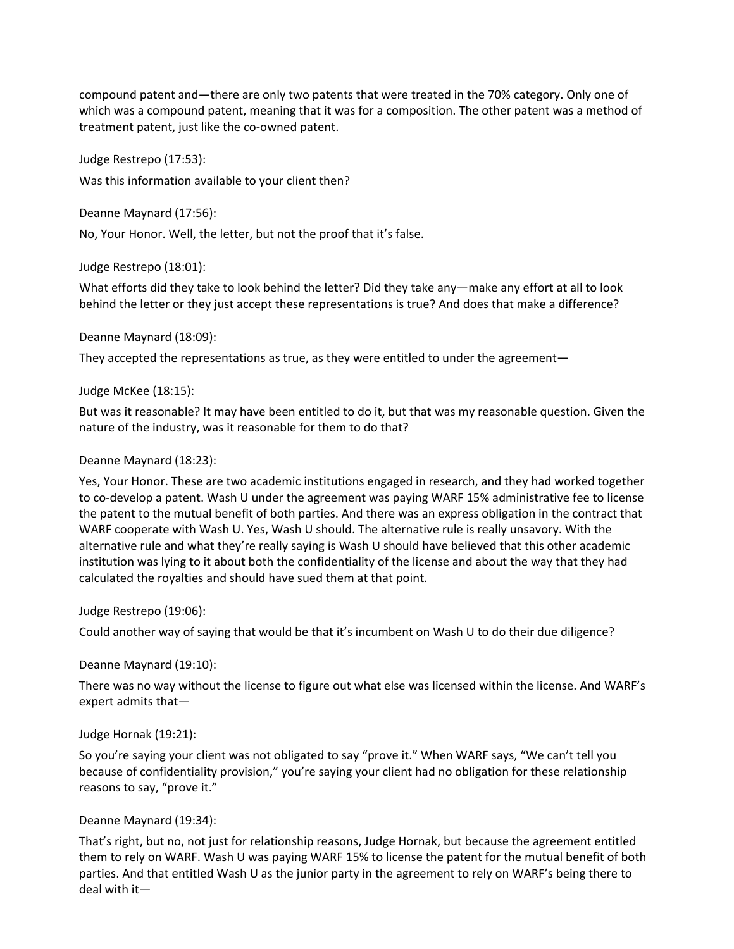compound patent and—there are only two patents that were treated in the 70% category. Only one of which was a compound patent, meaning that it was for a composition. The other patent was a method of treatment patent, just like the co-owned patent.

Judge Restrepo (17:53):

Was this information available to your client then?

Deanne Maynard (17:56):

No, Your Honor. Well, the letter, but not the proof that it's false.

Judge Restrepo (18:01):

What efforts did they take to look behind the letter? Did they take any—make any effort at all to look behind the letter or they just accept these representations is true? And does that make a difference?

Deanne Maynard (18:09):

They accepted the representations as true, as they were entitled to under the agreement—

#### Judge McKee (18:15):

But was it reasonable? It may have been entitled to do it, but that was my reasonable question. Given the nature of the industry, was it reasonable for them to do that?

#### Deanne Maynard (18:23):

Yes, Your Honor. These are two academic institutions engaged in research, and they had worked together to co-develop a patent. Wash U under the agreement was paying WARF 15% administrative fee to license the patent to the mutual benefit of both parties. And there was an express obligation in the contract that WARF cooperate with Wash U. Yes, Wash U should. The alternative rule is really unsavory. With the alternative rule and what they're really saying is Wash U should have believed that this other academic institution was lying to it about both the confidentiality of the license and about the way that they had calculated the royalties and should have sued them at that point.

# Judge Restrepo (19:06):

Could another way of saying that would be that it's incumbent on Wash U to do their due diligence?

Deanne Maynard (19:10):

There was no way without the license to figure out what else was licensed within the license. And WARF's expert admits that—

# Judge Hornak (19:21):

So you're saying your client was not obligated to say "prove it." When WARF says, "We can't tell you because of confidentiality provision," you're saying your client had no obligation for these relationship reasons to say, "prove it."

# Deanne Maynard (19:34):

That's right, but no, not just for relationship reasons, Judge Hornak, but because the agreement entitled them to rely on WARF. Wash U was paying WARF 15% to license the patent for the mutual benefit of both parties. And that entitled Wash U as the junior party in the agreement to rely on WARF's being there to deal with it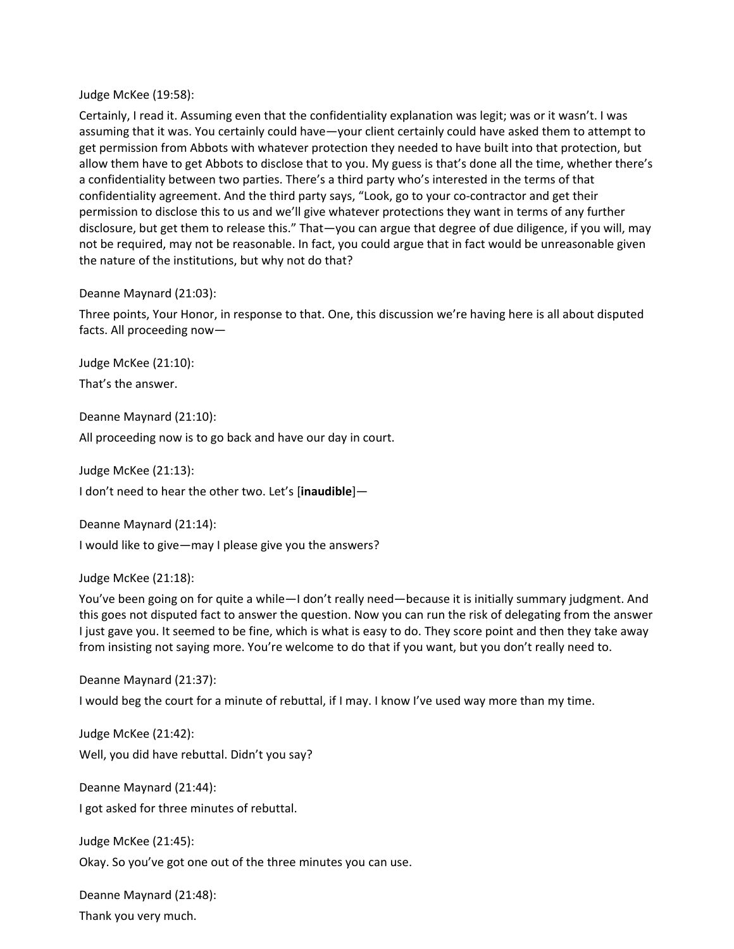Judge McKee (19:58):

Certainly, I read it. Assuming even that the confidentiality explanation was legit; was or it wasn't. I was assuming that it was. You certainly could have—your client certainly could have asked them to attempt to get permission from Abbots with whatever protection they needed to have built into that protection, but allow them have to get Abbots to disclose that to you. My guess is that's done all the time, whether there's a confidentiality between two parties. There's a third party who's interested in the terms of that confidentiality agreement. And the third party says, "Look, go to your co-contractor and get their permission to disclose this to us and we'll give whatever protections they want in terms of any further disclosure, but get them to release this." That—you can argue that degree of due diligence, if you will, may not be required, may not be reasonable. In fact, you could argue that in fact would be unreasonable given the nature of the institutions, but why not do that?

Deanne Maynard (21:03):

Three points, Your Honor, in response to that. One, this discussion we're having here is all about disputed facts. All proceeding now—

Judge McKee (21:10): That's the answer.

Deanne Maynard (21:10):

All proceeding now is to go back and have our day in court.

Judge McKee (21:13):

I don't need to hear the other two. Let's [**inaudible**]—

Deanne Maynard (21:14):

I would like to give—may I please give you the answers?

Judge McKee (21:18):

You've been going on for quite a while—I don't really need—because it is initially summary judgment. And this goes not disputed fact to answer the question. Now you can run the risk of delegating from the answer I just gave you. It seemed to be fine, which is what is easy to do. They score point and then they take away from insisting not saying more. You're welcome to do that if you want, but you don't really need to.

Deanne Maynard (21:37):

I would beg the court for a minute of rebuttal, if I may. I know I've used way more than my time.

Judge McKee (21:42): Well, you did have rebuttal. Didn't you say?

Deanne Maynard (21:44): I got asked for three minutes of rebuttal.

Judge McKee (21:45): Okay. So you've got one out of the three minutes you can use.

Deanne Maynard (21:48): Thank you very much.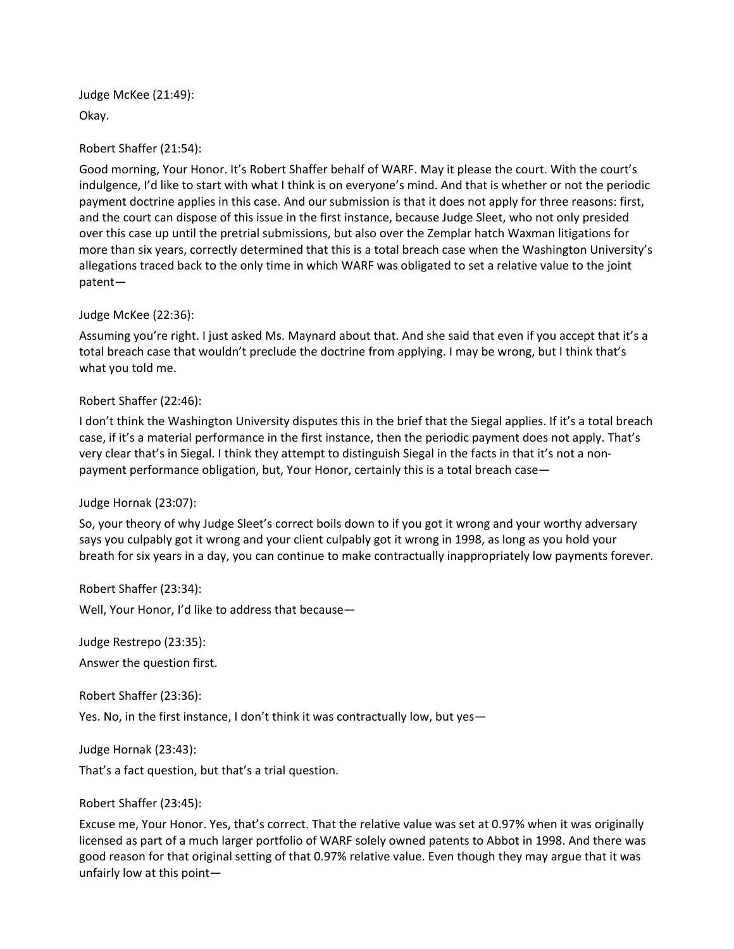Judge McKee (21:49): Okay.

Robert Shaffer (21:54):

Good morning, Your Honor. It's Robert Shaffer behalf of WARF. May it please the court. With the court's indulgence, I'd like to start with what I think is on everyone's mind. And that is whether or not the periodic payment doctrine applies in this case. And our submission is that it does not apply for three reasons: first, and the court can dispose of this issue in the first instance, because Judge Sleet, who not only presided over this case up until the pretrial submissions, but also over the Zemplar hatch Waxman litigations for more than six years, correctly determined that this is a total breach case when the Washington University's allegations traced back to the only time in which WARF was obligated to set a relative value to the joint patent—

Judge McKee (22:36):

Assuming you're right. I just asked Ms. Maynard about that. And she said that even if you accept that it's a total breach case that wouldn't preclude the doctrine from applying. I may be wrong, but I think that's what you told me.

Robert Shaffer (22:46):

I don't think the Washington University disputes this in the brief that the Siegal applies. If it's a total breach case, if it's a material performance in the first instance, then the periodic payment does not apply. That's very clear that's in Siegal. I think they attempt to distinguish Siegal in the facts in that it's not a nonpayment performance obligation, but, Your Honor, certainly this is a total breach case—

Judge Hornak (23:07):

So, your theory of why Judge Sleet's correct boils down to if you got it wrong and your worthy adversary says you culpably got it wrong and your client culpably got it wrong in 1998, as long as you hold your breath for six years in a day, you can continue to make contractually inappropriately low payments forever.

Robert Shaffer (23:34): Well, Your Honor, I'd like to address that because—

Judge Restrepo (23:35):

Answer the question first.

Robert Shaffer (23:36):

Yes. No, in the first instance, I don't think it was contractually low, but yes—

Judge Hornak (23:43):

That's a fact question, but that's a trial question.

Robert Shaffer (23:45):

Excuse me, Your Honor. Yes, that's correct. That the relative value was set at 0.97% when it was originally licensed as part of a much larger portfolio of WARF solely owned patents to Abbot in 1998. And there was good reason for that original setting of that 0.97% relative value. Even though they may argue that it was unfairly low at this point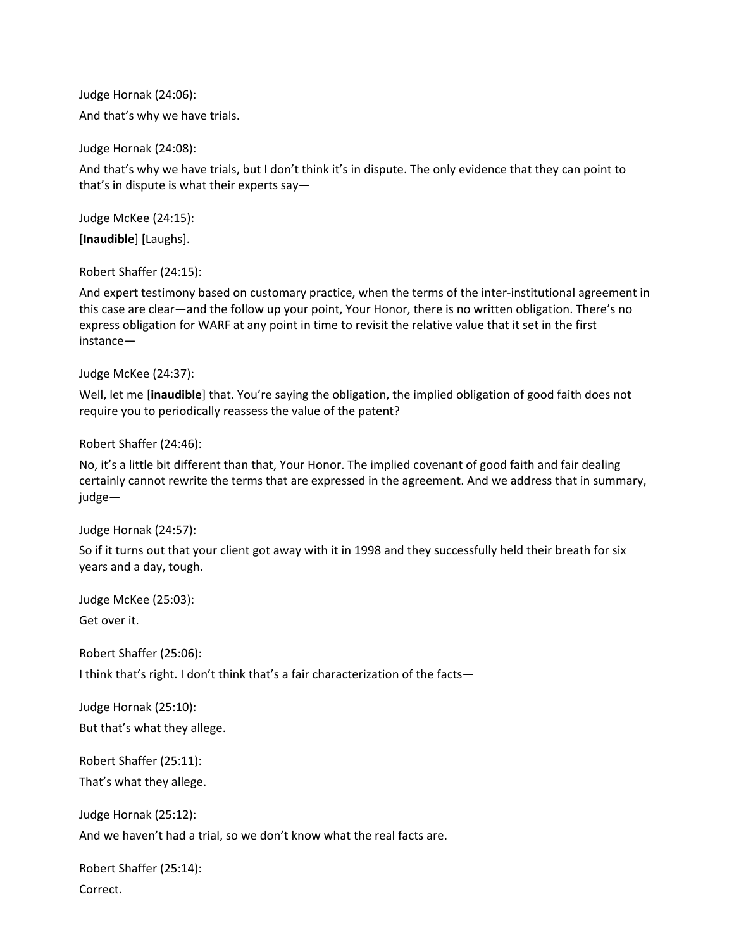Judge Hornak (24:06): And that's why we have trials.

Judge Hornak (24:08):

And that's why we have trials, but I don't think it's in dispute. The only evidence that they can point to that's in dispute is what their experts say—

Judge McKee (24:15): [**Inaudible**] [Laughs].

Robert Shaffer (24:15):

And expert testimony based on customary practice, when the terms of the inter-institutional agreement in this case are clear—and the follow up your point, Your Honor, there is no written obligation. There's no express obligation for WARF at any point in time to revisit the relative value that it set in the first instance—

Judge McKee (24:37):

Well, let me [**inaudible**] that. You're saying the obligation, the implied obligation of good faith does not require you to periodically reassess the value of the patent?

Robert Shaffer (24:46):

No, it's a little bit different than that, Your Honor. The implied covenant of good faith and fair dealing certainly cannot rewrite the terms that are expressed in the agreement. And we address that in summary, judge—

Judge Hornak (24:57):

So if it turns out that your client got away with it in 1998 and they successfully held their breath for six years and a day, tough.

Judge McKee (25:03):

Get over it.

Robert Shaffer (25:06):

I think that's right. I don't think that's a fair characterization of the facts—

Judge Hornak (25:10):

But that's what they allege.

Robert Shaffer (25:11):

That's what they allege.

Judge Hornak (25:12):

And we haven't had a trial, so we don't know what the real facts are.

Robert Shaffer (25:14): Correct.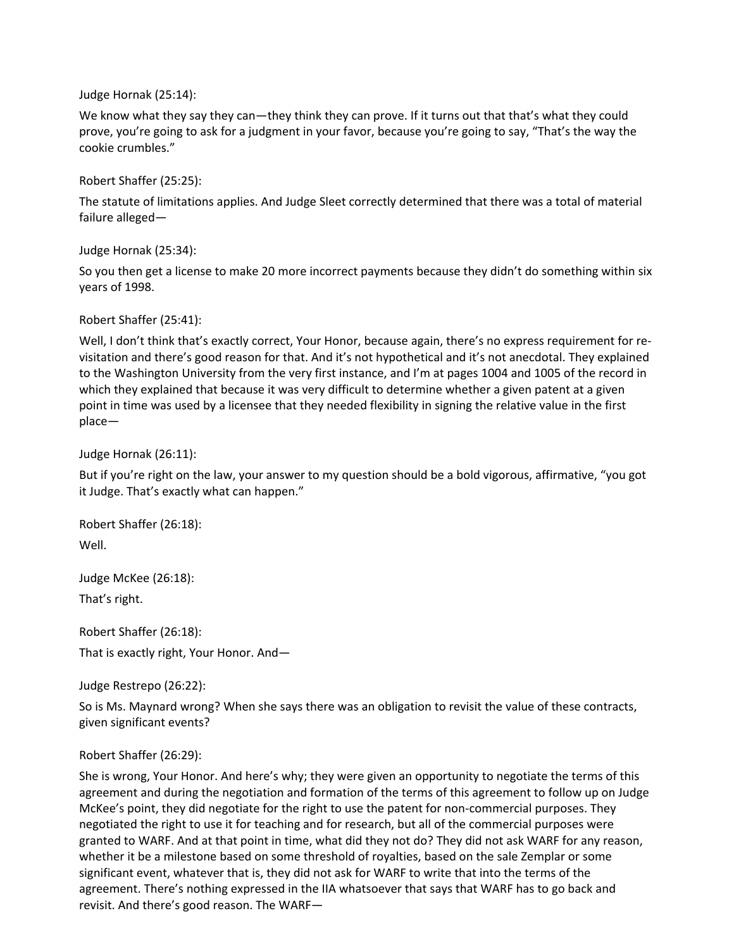Judge Hornak (25:14):

We know what they say they can—they think they can prove. If it turns out that that's what they could prove, you're going to ask for a judgment in your favor, because you're going to say, "That's the way the cookie crumbles."

Robert Shaffer (25:25):

The statute of limitations applies. And Judge Sleet correctly determined that there was a total of material failure alleged—

Judge Hornak (25:34):

So you then get a license to make 20 more incorrect payments because they didn't do something within six years of 1998.

Robert Shaffer (25:41):

Well, I don't think that's exactly correct, Your Honor, because again, there's no express requirement for revisitation and there's good reason for that. And it's not hypothetical and it's not anecdotal. They explained to the Washington University from the very first instance, and I'm at pages 1004 and 1005 of the record in which they explained that because it was very difficult to determine whether a given patent at a given point in time was used by a licensee that they needed flexibility in signing the relative value in the first place—

Judge Hornak (26:11):

But if you're right on the law, your answer to my question should be a bold vigorous, affirmative, "you got it Judge. That's exactly what can happen."

Robert Shaffer (26:18): Well.

Judge McKee (26:18): That's right.

Robert Shaffer (26:18): That is exactly right, Your Honor. And—

Judge Restrepo (26:22):

So is Ms. Maynard wrong? When she says there was an obligation to revisit the value of these contracts, given significant events?

# Robert Shaffer (26:29):

She is wrong, Your Honor. And here's why; they were given an opportunity to negotiate the terms of this agreement and during the negotiation and formation of the terms of this agreement to follow up on Judge McKee's point, they did negotiate for the right to use the patent for non-commercial purposes. They negotiated the right to use it for teaching and for research, but all of the commercial purposes were granted to WARF. And at that point in time, what did they not do? They did not ask WARF for any reason, whether it be a milestone based on some threshold of royalties, based on the sale Zemplar or some significant event, whatever that is, they did not ask for WARF to write that into the terms of the agreement. There's nothing expressed in the IIA whatsoever that says that WARF has to go back and revisit. And there's good reason. The WARF—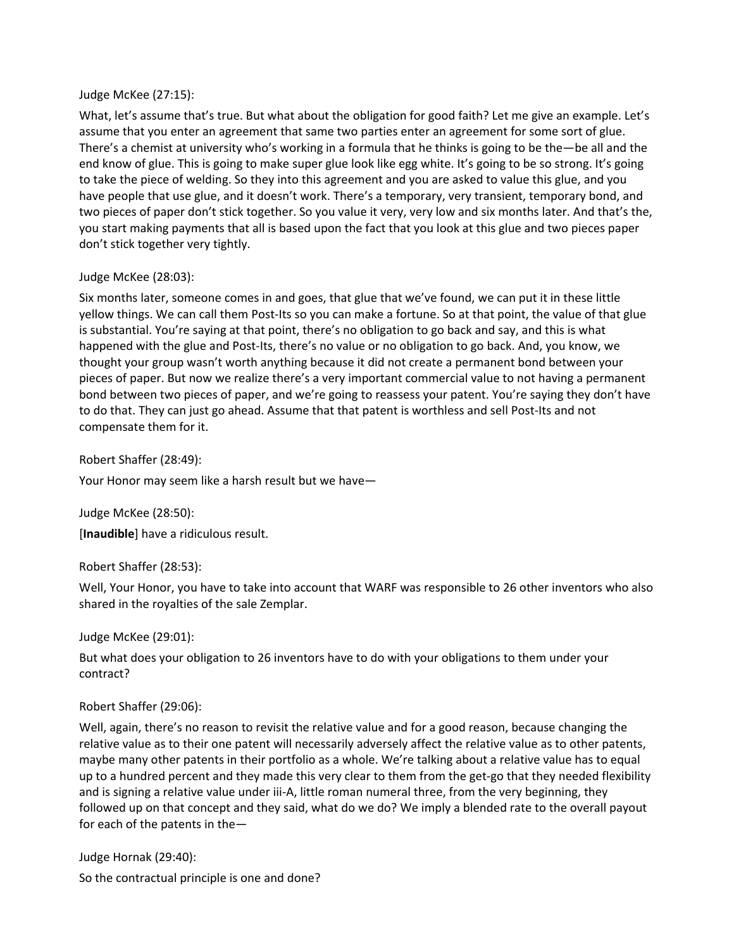#### Judge McKee (27:15):

What, let's assume that's true. But what about the obligation for good faith? Let me give an example. Let's assume that you enter an agreement that same two parties enter an agreement for some sort of glue. There's a chemist at university who's working in a formula that he thinks is going to be the—be all and the end know of glue. This is going to make super glue look like egg white. It's going to be so strong. It's going to take the piece of welding. So they into this agreement and you are asked to value this glue, and you have people that use glue, and it doesn't work. There's a temporary, very transient, temporary bond, and two pieces of paper don't stick together. So you value it very, very low and six months later. And that's the, you start making payments that all is based upon the fact that you look at this glue and two pieces paper don't stick together very tightly.

# Judge McKee (28:03):

Six months later, someone comes in and goes, that glue that we've found, we can put it in these little yellow things. We can call them Post-Its so you can make a fortune. So at that point, the value of that glue is substantial. You're saying at that point, there's no obligation to go back and say, and this is what happened with the glue and Post-Its, there's no value or no obligation to go back. And, you know, we thought your group wasn't worth anything because it did not create a permanent bond between your pieces of paper. But now we realize there's a very important commercial value to not having a permanent bond between two pieces of paper, and we're going to reassess your patent. You're saying they don't have to do that. They can just go ahead. Assume that that patent is worthless and sell Post-Its and not compensate them for it.

Robert Shaffer (28:49):

Your Honor may seem like a harsh result but we have—

Judge McKee (28:50):

[**Inaudible**] have a ridiculous result.

# Robert Shaffer (28:53):

Well, Your Honor, you have to take into account that WARF was responsible to 26 other inventors who also shared in the royalties of the sale Zemplar.

# Judge McKee (29:01):

But what does your obligation to 26 inventors have to do with your obligations to them under your contract?

# Robert Shaffer (29:06):

Well, again, there's no reason to revisit the relative value and for a good reason, because changing the relative value as to their one patent will necessarily adversely affect the relative value as to other patents, maybe many other patents in their portfolio as a whole. We're talking about a relative value has to equal up to a hundred percent and they made this very clear to them from the get-go that they needed flexibility and is signing a relative value under iii-A, little roman numeral three, from the very beginning, they followed up on that concept and they said, what do we do? We imply a blended rate to the overall payout for each of the patents in the—

Judge Hornak (29:40):

So the contractual principle is one and done?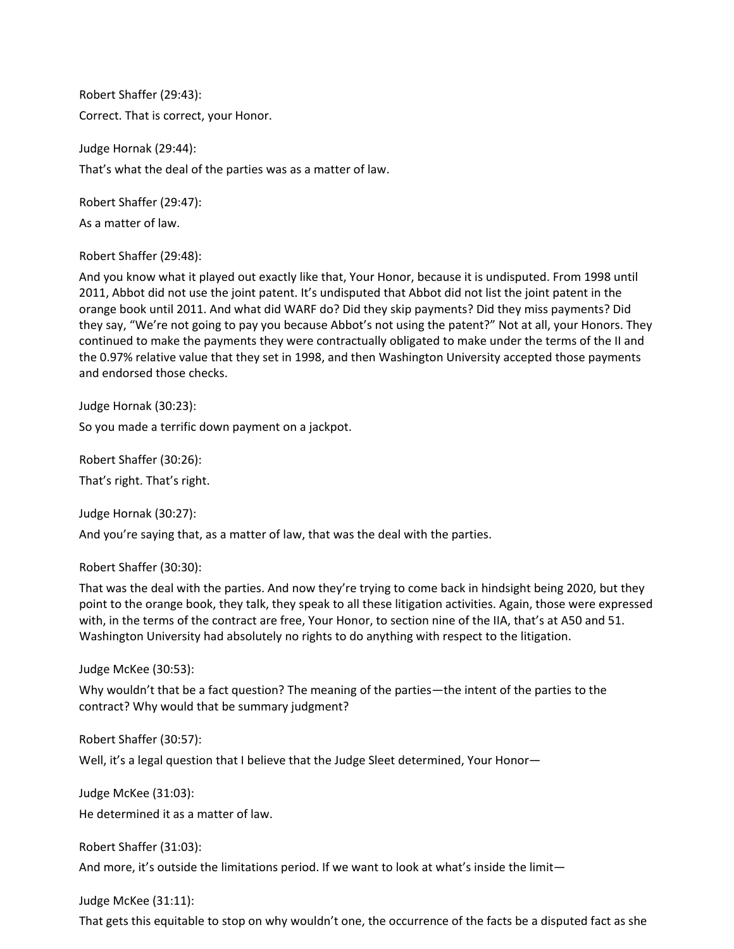Robert Shaffer (29:43): Correct. That is correct, your Honor.

Judge Hornak (29:44): That's what the deal of the parties was as a matter of law.

Robert Shaffer (29:47):

As a matter of law.

Robert Shaffer (29:48):

And you know what it played out exactly like that, Your Honor, because it is undisputed. From 1998 until 2011, Abbot did not use the joint patent. It's undisputed that Abbot did not list the joint patent in the orange book until 2011. And what did WARF do? Did they skip payments? Did they miss payments? Did they say, "We're not going to pay you because Abbot's not using the patent?" Not at all, your Honors. They continued to make the payments they were contractually obligated to make under the terms of the II and the 0.97% relative value that they set in 1998, and then Washington University accepted those payments and endorsed those checks.

Judge Hornak (30:23):

So you made a terrific down payment on a jackpot.

Robert Shaffer (30:26):

That's right. That's right.

Judge Hornak (30:27):

And you're saying that, as a matter of law, that was the deal with the parties.

Robert Shaffer (30:30):

That was the deal with the parties. And now they're trying to come back in hindsight being 2020, but they point to the orange book, they talk, they speak to all these litigation activities. Again, those were expressed with, in the terms of the contract are free, Your Honor, to section nine of the IIA, that's at A50 and 51. Washington University had absolutely no rights to do anything with respect to the litigation.

Judge McKee (30:53):

Why wouldn't that be a fact question? The meaning of the parties—the intent of the parties to the contract? Why would that be summary judgment?

Robert Shaffer (30:57):

Well, it's a legal question that I believe that the Judge Sleet determined, Your Honor-

Judge McKee (31:03): He determined it as a matter of law.

Robert Shaffer (31:03):

And more, it's outside the limitations period. If we want to look at what's inside the limit—

Judge McKee (31:11):

That gets this equitable to stop on why wouldn't one, the occurrence of the facts be a disputed fact as she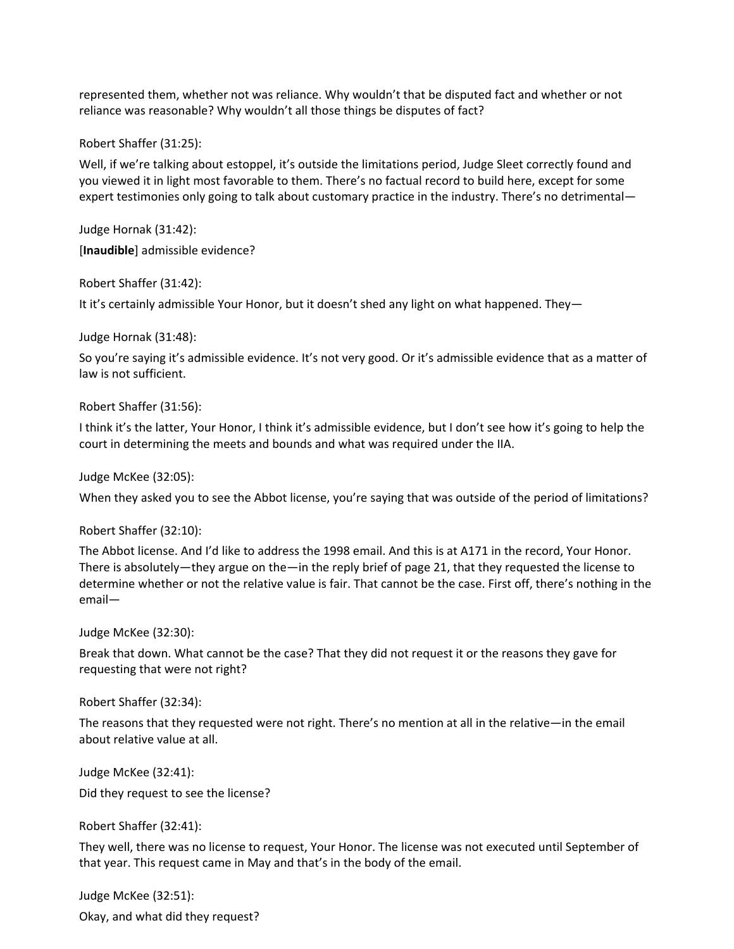represented them, whether not was reliance. Why wouldn't that be disputed fact and whether or not reliance was reasonable? Why wouldn't all those things be disputes of fact?

Robert Shaffer (31:25):

Well, if we're talking about estoppel, it's outside the limitations period, Judge Sleet correctly found and you viewed it in light most favorable to them. There's no factual record to build here, except for some expert testimonies only going to talk about customary practice in the industry. There's no detrimental—

Judge Hornak (31:42): [**Inaudible**] admissible evidence?

Robert Shaffer (31:42):

It it's certainly admissible Your Honor, but it doesn't shed any light on what happened. They—

Judge Hornak (31:48):

So you're saying it's admissible evidence. It's not very good. Or it's admissible evidence that as a matter of law is not sufficient.

Robert Shaffer (31:56):

I think it's the latter, Your Honor, I think it's admissible evidence, but I don't see how it's going to help the court in determining the meets and bounds and what was required under the IIA.

Judge McKee (32:05):

When they asked you to see the Abbot license, you're saying that was outside of the period of limitations?

Robert Shaffer (32:10):

The Abbot license. And I'd like to address the 1998 email. And this is at A171 in the record, Your Honor. There is absolutely—they argue on the—in the reply brief of page 21, that they requested the license to determine whether or not the relative value is fair. That cannot be the case. First off, there's nothing in the email—

Judge McKee (32:30):

Break that down. What cannot be the case? That they did not request it or the reasons they gave for requesting that were not right?

Robert Shaffer (32:34):

The reasons that they requested were not right. There's no mention at all in the relative—in the email about relative value at all.

Judge McKee (32:41):

Did they request to see the license?

Robert Shaffer (32:41):

They well, there was no license to request, Your Honor. The license was not executed until September of that year. This request came in May and that's in the body of the email.

Judge McKee (32:51):

Okay, and what did they request?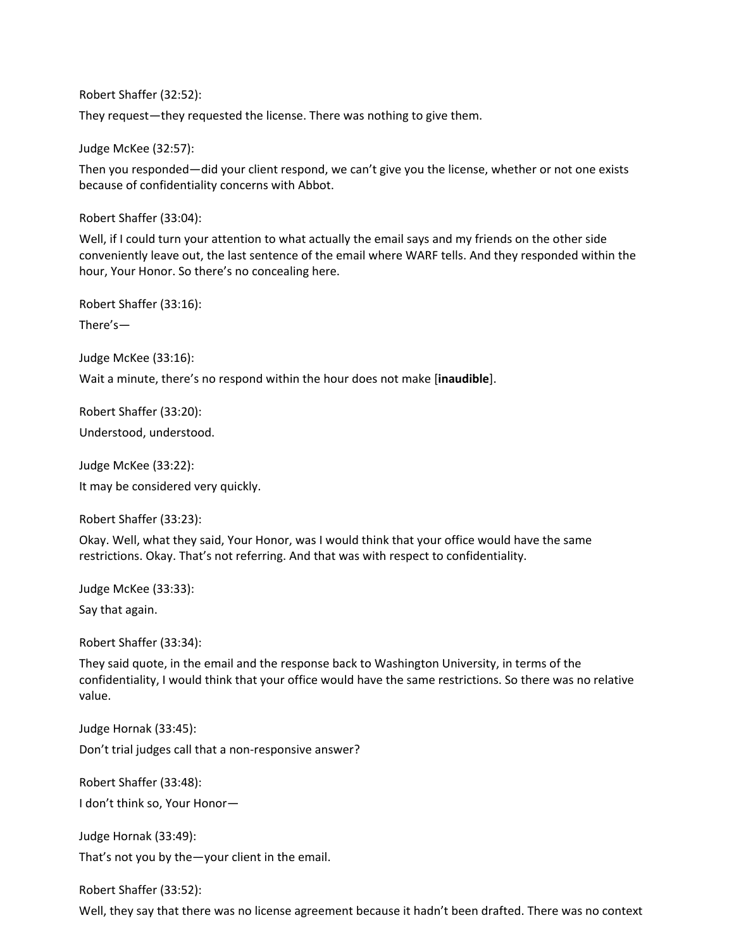Robert Shaffer (32:52):

They request—they requested the license. There was nothing to give them.

Judge McKee (32:57):

Then you responded—did your client respond, we can't give you the license, whether or not one exists because of confidentiality concerns with Abbot.

Robert Shaffer (33:04):

Well, if I could turn your attention to what actually the email says and my friends on the other side conveniently leave out, the last sentence of the email where WARF tells. And they responded within the hour, Your Honor. So there's no concealing here.

Robert Shaffer (33:16):

There's—

Judge McKee (33:16):

Wait a minute, there's no respond within the hour does not make [**inaudible**].

Robert Shaffer (33:20): Understood, understood.

Judge McKee (33:22): It may be considered very quickly.

Robert Shaffer (33:23):

Okay. Well, what they said, Your Honor, was I would think that your office would have the same restrictions. Okay. That's not referring. And that was with respect to confidentiality.

Judge McKee (33:33):

Say that again.

Robert Shaffer (33:34):

They said quote, in the email and the response back to Washington University, in terms of the confidentiality, I would think that your office would have the same restrictions. So there was no relative value.

Judge Hornak (33:45):

Don't trial judges call that a non-responsive answer?

Robert Shaffer (33:48):

I don't think so, Your Honor—

Judge Hornak (33:49):

That's not you by the—your client in the email.

Robert Shaffer (33:52):

Well, they say that there was no license agreement because it hadn't been drafted. There was no context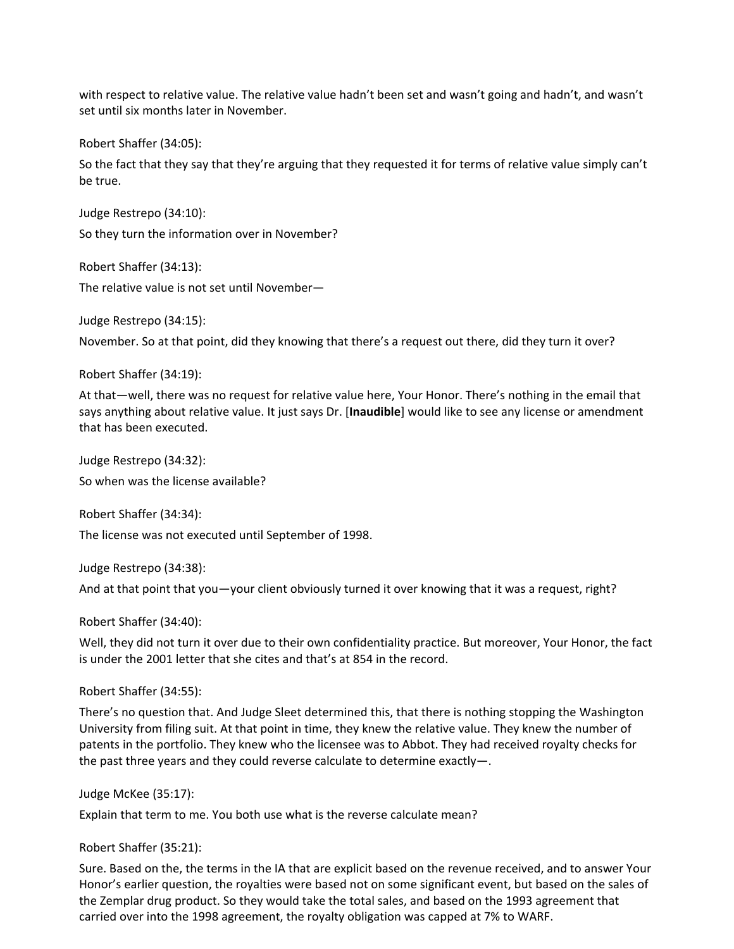with respect to relative value. The relative value hadn't been set and wasn't going and hadn't, and wasn't set until six months later in November.

Robert Shaffer (34:05):

So the fact that they say that they're arguing that they requested it for terms of relative value simply can't be true.

Judge Restrepo (34:10): So they turn the information over in November?

Robert Shaffer (34:13):

The relative value is not set until November—

Judge Restrepo (34:15):

November. So at that point, did they knowing that there's a request out there, did they turn it over?

Robert Shaffer (34:19):

At that—well, there was no request for relative value here, Your Honor. There's nothing in the email that says anything about relative value. It just says Dr. [**Inaudible**] would like to see any license or amendment that has been executed.

Judge Restrepo (34:32): So when was the license available?

Robert Shaffer (34:34):

The license was not executed until September of 1998.

Judge Restrepo (34:38):

And at that point that you—your client obviously turned it over knowing that it was a request, right?

Robert Shaffer (34:40):

Well, they did not turn it over due to their own confidentiality practice. But moreover, Your Honor, the fact is under the 2001 letter that she cites and that's at 854 in the record.

Robert Shaffer (34:55):

There's no question that. And Judge Sleet determined this, that there is nothing stopping the Washington University from filing suit. At that point in time, they knew the relative value. They knew the number of patents in the portfolio. They knew who the licensee was to Abbot. They had received royalty checks for the past three years and they could reverse calculate to determine exactly—.

Judge McKee (35:17):

Explain that term to me. You both use what is the reverse calculate mean?

Robert Shaffer (35:21):

Sure. Based on the, the terms in the IA that are explicit based on the revenue received, and to answer Your Honor's earlier question, the royalties were based not on some significant event, but based on the sales of the Zemplar drug product. So they would take the total sales, and based on the 1993 agreement that carried over into the 1998 agreement, the royalty obligation was capped at 7% to WARF.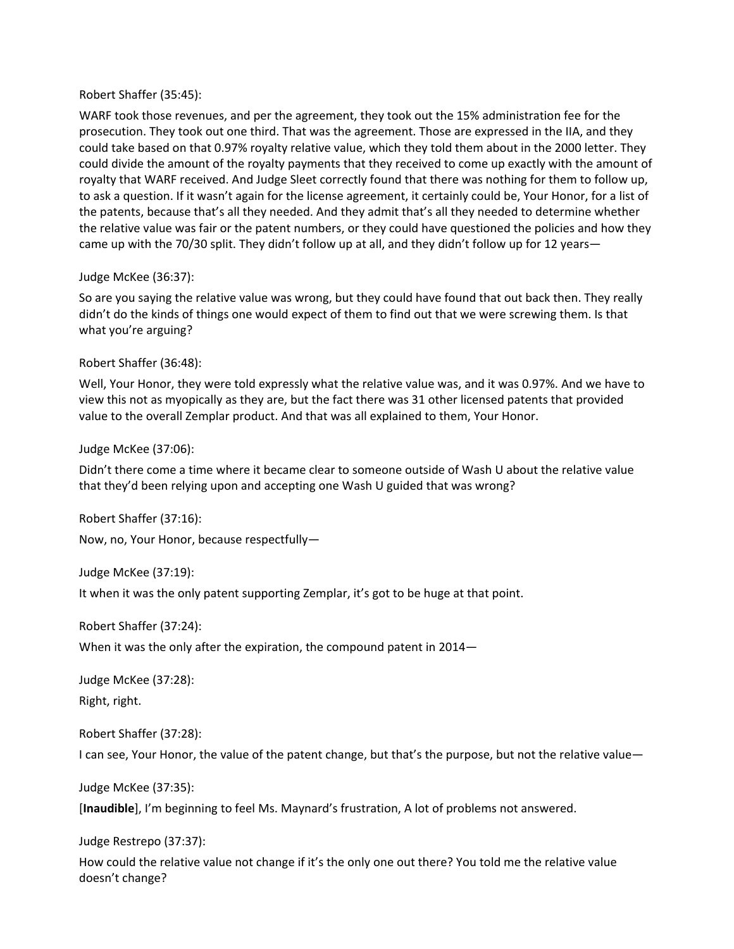#### Robert Shaffer (35:45):

WARF took those revenues, and per the agreement, they took out the 15% administration fee for the prosecution. They took out one third. That was the agreement. Those are expressed in the IIA, and they could take based on that 0.97% royalty relative value, which they told them about in the 2000 letter. They could divide the amount of the royalty payments that they received to come up exactly with the amount of royalty that WARF received. And Judge Sleet correctly found that there was nothing for them to follow up, to ask a question. If it wasn't again for the license agreement, it certainly could be, Your Honor, for a list of the patents, because that's all they needed. And they admit that's all they needed to determine whether the relative value was fair or the patent numbers, or they could have questioned the policies and how they came up with the 70/30 split. They didn't follow up at all, and they didn't follow up for 12 years—

# Judge McKee (36:37):

So are you saying the relative value was wrong, but they could have found that out back then. They really didn't do the kinds of things one would expect of them to find out that we were screwing them. Is that what you're arguing?

# Robert Shaffer (36:48):

Well, Your Honor, they were told expressly what the relative value was, and it was 0.97%. And we have to view this not as myopically as they are, but the fact there was 31 other licensed patents that provided value to the overall Zemplar product. And that was all explained to them, Your Honor.

# Judge McKee (37:06):

Didn't there come a time where it became clear to someone outside of Wash U about the relative value that they'd been relying upon and accepting one Wash U guided that was wrong?

Robert Shaffer (37:16): Now, no, Your Honor, because respectfully—

Judge McKee (37:19): It when it was the only patent supporting Zemplar, it's got to be huge at that point.

Robert Shaffer (37:24):

When it was the only after the expiration, the compound patent in 2014—

Judge McKee (37:28):

Right, right.

Robert Shaffer (37:28):

I can see, Your Honor, the value of the patent change, but that's the purpose, but not the relative value—

Judge McKee (37:35):

[**Inaudible**], I'm beginning to feel Ms. Maynard's frustration, A lot of problems not answered.

Judge Restrepo (37:37):

How could the relative value not change if it's the only one out there? You told me the relative value doesn't change?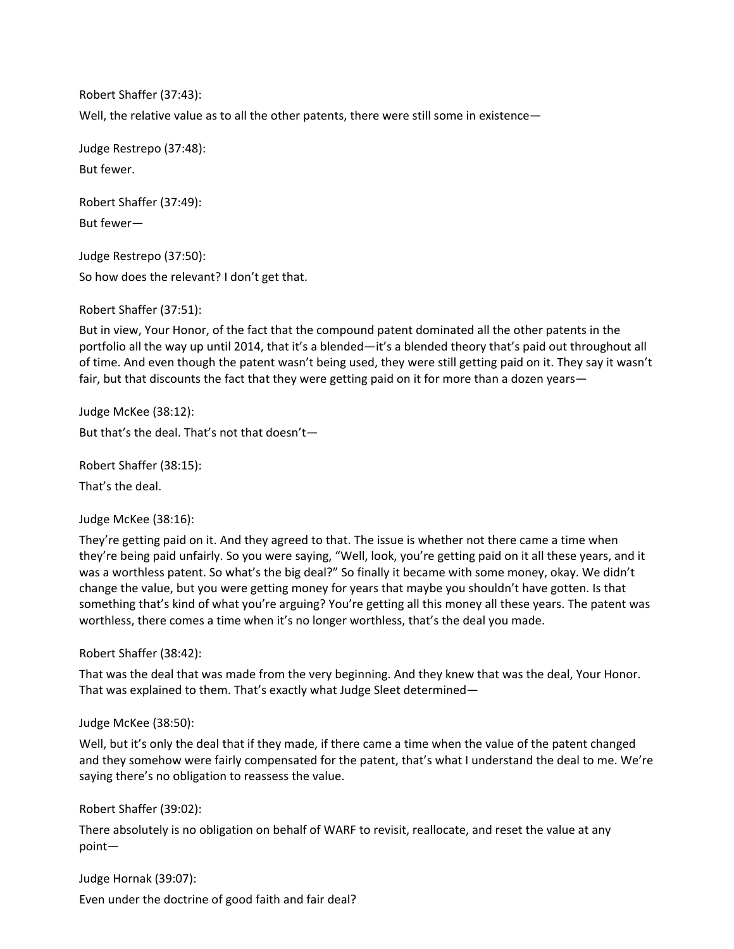Robert Shaffer (37:43): Well, the relative value as to all the other patents, there were still some in existence—

Judge Restrepo (37:48): But fewer.

Robert Shaffer (37:49): But fewer—

Judge Restrepo (37:50): So how does the relevant? I don't get that.

Robert Shaffer (37:51):

But in view, Your Honor, of the fact that the compound patent dominated all the other patents in the portfolio all the way up until 2014, that it's a blended—it's a blended theory that's paid out throughout all of time. And even though the patent wasn't being used, they were still getting paid on it. They say it wasn't fair, but that discounts the fact that they were getting paid on it for more than a dozen years—

Judge McKee (38:12): But that's the deal. That's not that doesn't—

Robert Shaffer (38:15): That's the deal.

Judge McKee (38:16):

They're getting paid on it. And they agreed to that. The issue is whether not there came a time when they're being paid unfairly. So you were saying, "Well, look, you're getting paid on it all these years, and it was a worthless patent. So what's the big deal?" So finally it became with some money, okay. We didn't change the value, but you were getting money for years that maybe you shouldn't have gotten. Is that something that's kind of what you're arguing? You're getting all this money all these years. The patent was worthless, there comes a time when it's no longer worthless, that's the deal you made.

Robert Shaffer (38:42):

That was the deal that was made from the very beginning. And they knew that was the deal, Your Honor. That was explained to them. That's exactly what Judge Sleet determined—

Judge McKee (38:50):

Well, but it's only the deal that if they made, if there came a time when the value of the patent changed and they somehow were fairly compensated for the patent, that's what I understand the deal to me. We're saying there's no obligation to reassess the value.

Robert Shaffer (39:02):

There absolutely is no obligation on behalf of WARF to revisit, reallocate, and reset the value at any point—

Judge Hornak (39:07):

Even under the doctrine of good faith and fair deal?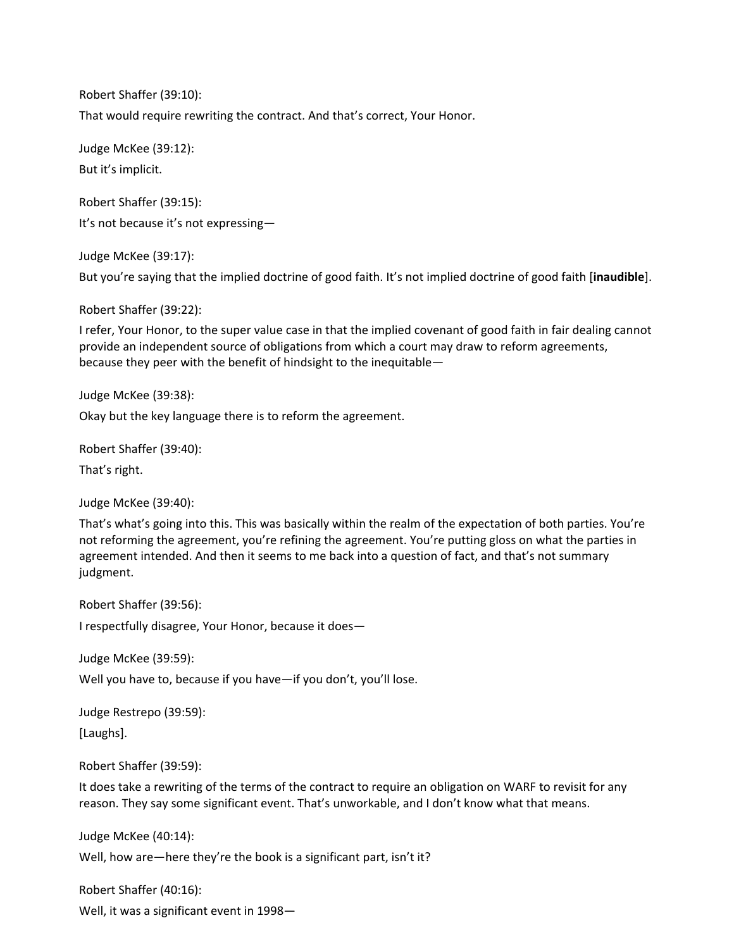Robert Shaffer (39:10): That would require rewriting the contract. And that's correct, Your Honor.

Judge McKee (39:12): But it's implicit.

Robert Shaffer (39:15): It's not because it's not expressing—

Judge McKee (39:17):

But you're saying that the implied doctrine of good faith. It's not implied doctrine of good faith [**inaudible**].

Robert Shaffer (39:22):

I refer, Your Honor, to the super value case in that the implied covenant of good faith in fair dealing cannot provide an independent source of obligations from which a court may draw to reform agreements, because they peer with the benefit of hindsight to the inequitable—

Judge McKee (39:38):

Okay but the key language there is to reform the agreement.

Robert Shaffer (39:40):

That's right.

Judge McKee (39:40):

That's what's going into this. This was basically within the realm of the expectation of both parties. You're not reforming the agreement, you're refining the agreement. You're putting gloss on what the parties in agreement intended. And then it seems to me back into a question of fact, and that's not summary judgment.

Robert Shaffer (39:56):

I respectfully disagree, Your Honor, because it does—

Judge McKee (39:59):

Well you have to, because if you have—if you don't, you'll lose.

Judge Restrepo (39:59):

[Laughs].

Robert Shaffer (39:59):

It does take a rewriting of the terms of the contract to require an obligation on WARF to revisit for any reason. They say some significant event. That's unworkable, and I don't know what that means.

Judge McKee (40:14):

Well, how are—here they're the book is a significant part, isn't it?

Robert Shaffer (40:16):

Well, it was a significant event in 1998—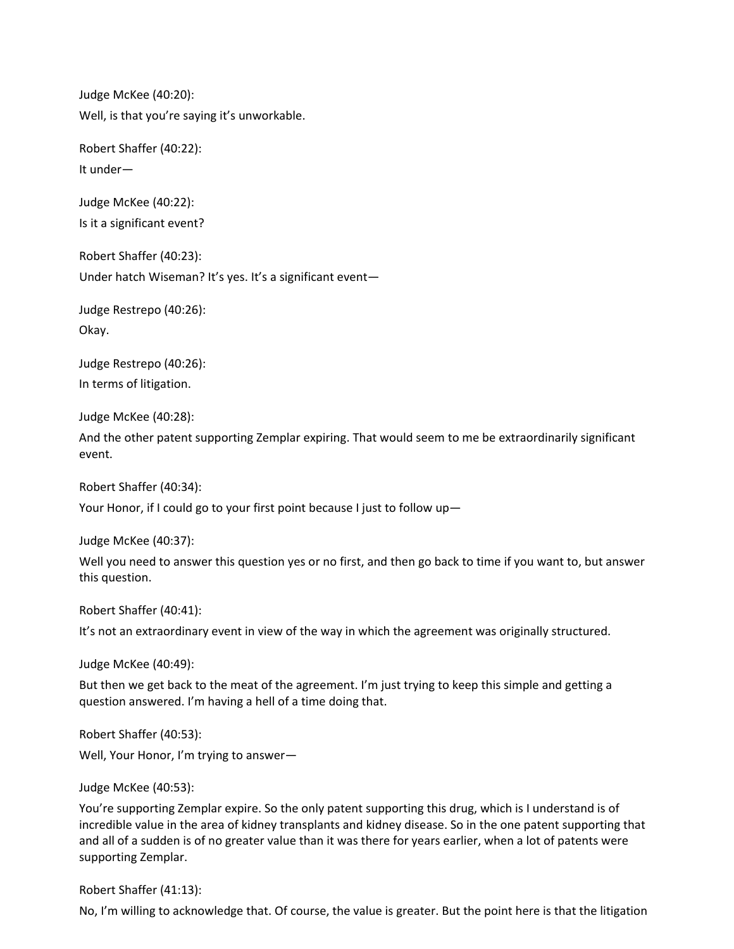Judge McKee (40:20): Well, is that you're saying it's unworkable.

Robert Shaffer (40:22): It under—

Judge McKee (40:22): Is it a significant event?

Robert Shaffer (40:23): Under hatch Wiseman? It's yes. It's a significant event—

Judge Restrepo (40:26): Okay.

Judge Restrepo (40:26): In terms of litigation.

Judge McKee (40:28):

And the other patent supporting Zemplar expiring. That would seem to me be extraordinarily significant event.

Robert Shaffer (40:34):

Your Honor, if I could go to your first point because I just to follow up—

Judge McKee (40:37):

Well you need to answer this question yes or no first, and then go back to time if you want to, but answer this question.

Robert Shaffer (40:41):

It's not an extraordinary event in view of the way in which the agreement was originally structured.

Judge McKee (40:49):

But then we get back to the meat of the agreement. I'm just trying to keep this simple and getting a question answered. I'm having a hell of a time doing that.

Robert Shaffer (40:53): Well, Your Honor, I'm trying to answer—

Judge McKee (40:53):

You're supporting Zemplar expire. So the only patent supporting this drug, which is I understand is of incredible value in the area of kidney transplants and kidney disease. So in the one patent supporting that and all of a sudden is of no greater value than it was there for years earlier, when a lot of patents were supporting Zemplar.

Robert Shaffer (41:13):

No, I'm willing to acknowledge that. Of course, the value is greater. But the point here is that the litigation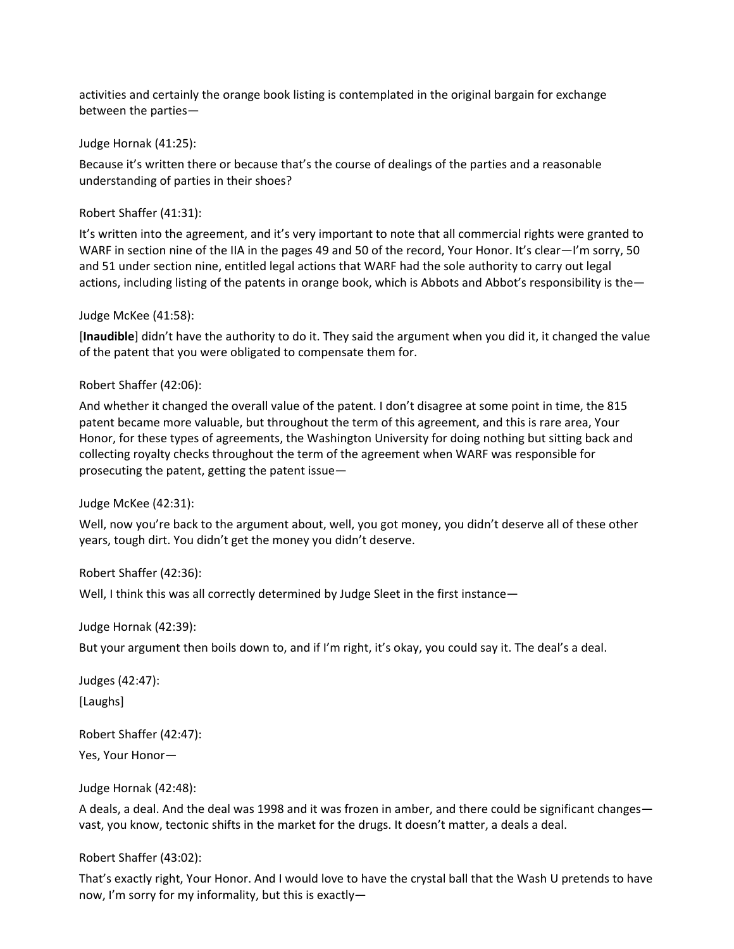activities and certainly the orange book listing is contemplated in the original bargain for exchange between the parties—

Judge Hornak (41:25):

Because it's written there or because that's the course of dealings of the parties and a reasonable understanding of parties in their shoes?

Robert Shaffer (41:31):

It's written into the agreement, and it's very important to note that all commercial rights were granted to WARF in section nine of the IIA in the pages 49 and 50 of the record, Your Honor. It's clear—I'm sorry, 50 and 51 under section nine, entitled legal actions that WARF had the sole authority to carry out legal actions, including listing of the patents in orange book, which is Abbots and Abbot's responsibility is the—

Judge McKee (41:58):

[**Inaudible**] didn't have the authority to do it. They said the argument when you did it, it changed the value of the patent that you were obligated to compensate them for.

Robert Shaffer (42:06):

And whether it changed the overall value of the patent. I don't disagree at some point in time, the 815 patent became more valuable, but throughout the term of this agreement, and this is rare area, Your Honor, for these types of agreements, the Washington University for doing nothing but sitting back and collecting royalty checks throughout the term of the agreement when WARF was responsible for prosecuting the patent, getting the patent issue—

Judge McKee (42:31):

Well, now you're back to the argument about, well, you got money, you didn't deserve all of these other years, tough dirt. You didn't get the money you didn't deserve.

Robert Shaffer (42:36):

Well, I think this was all correctly determined by Judge Sleet in the first instance—

Judge Hornak (42:39):

But your argument then boils down to, and if I'm right, it's okay, you could say it. The deal's a deal.

Judges (42:47): [Laughs]

Robert Shaffer (42:47):

Yes, Your Honor—

Judge Hornak (42:48):

A deals, a deal. And the deal was 1998 and it was frozen in amber, and there could be significant changes vast, you know, tectonic shifts in the market for the drugs. It doesn't matter, a deals a deal.

Robert Shaffer (43:02):

That's exactly right, Your Honor. And I would love to have the crystal ball that the Wash U pretends to have now, I'm sorry for my informality, but this is exactly—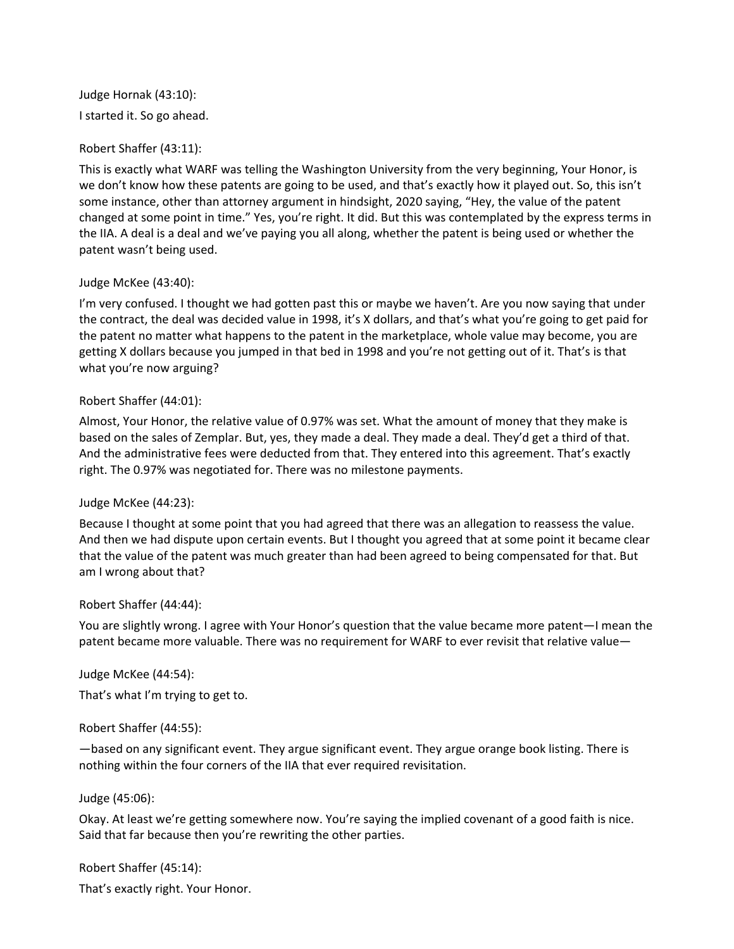# Judge Hornak (43:10): I started it. So go ahead.

# Robert Shaffer (43:11):

This is exactly what WARF was telling the Washington University from the very beginning, Your Honor, is we don't know how these patents are going to be used, and that's exactly how it played out. So, this isn't some instance, other than attorney argument in hindsight, 2020 saying, "Hey, the value of the patent changed at some point in time." Yes, you're right. It did. But this was contemplated by the express terms in the IIA. A deal is a deal and we've paying you all along, whether the patent is being used or whether the patent wasn't being used.

# Judge McKee (43:40):

I'm very confused. I thought we had gotten past this or maybe we haven't. Are you now saying that under the contract, the deal was decided value in 1998, it's X dollars, and that's what you're going to get paid for the patent no matter what happens to the patent in the marketplace, whole value may become, you are getting X dollars because you jumped in that bed in 1998 and you're not getting out of it. That's is that what you're now arguing?

# Robert Shaffer (44:01):

Almost, Your Honor, the relative value of 0.97% was set. What the amount of money that they make is based on the sales of Zemplar. But, yes, they made a deal. They made a deal. They'd get a third of that. And the administrative fees were deducted from that. They entered into this agreement. That's exactly right. The 0.97% was negotiated for. There was no milestone payments.

# Judge McKee (44:23):

Because I thought at some point that you had agreed that there was an allegation to reassess the value. And then we had dispute upon certain events. But I thought you agreed that at some point it became clear that the value of the patent was much greater than had been agreed to being compensated for that. But am I wrong about that?

# Robert Shaffer (44:44):

You are slightly wrong. I agree with Your Honor's question that the value became more patent—I mean the patent became more valuable. There was no requirement for WARF to ever revisit that relative value—

Judge McKee (44:54):

That's what I'm trying to get to.

# Robert Shaffer (44:55):

—based on any significant event. They argue significant event. They argue orange book listing. There is nothing within the four corners of the IIA that ever required revisitation.

# Judge (45:06):

Okay. At least we're getting somewhere now. You're saying the implied covenant of a good faith is nice. Said that far because then you're rewriting the other parties.

# Robert Shaffer (45:14):

That's exactly right. Your Honor.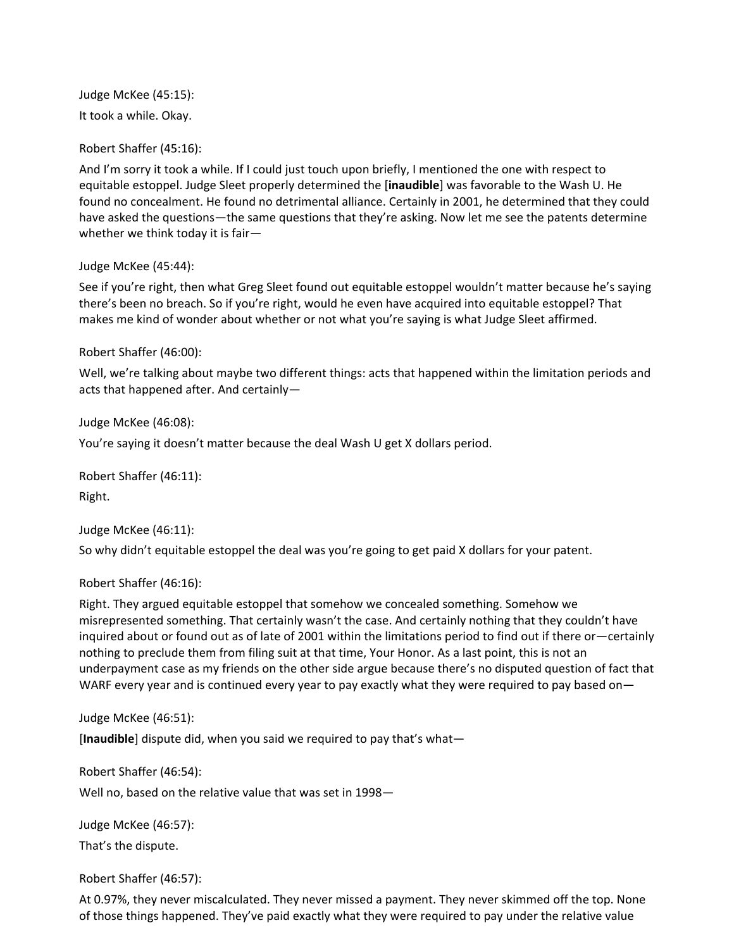Judge McKee (45:15): It took a while. Okay.

Robert Shaffer (45:16):

And I'm sorry it took a while. If I could just touch upon briefly, I mentioned the one with respect to equitable estoppel. Judge Sleet properly determined the [**inaudible**] was favorable to the Wash U. He found no concealment. He found no detrimental alliance. Certainly in 2001, he determined that they could have asked the questions—the same questions that they're asking. Now let me see the patents determine whether we think today it is fair—

Judge McKee (45:44):

See if you're right, then what Greg Sleet found out equitable estoppel wouldn't matter because he's saying there's been no breach. So if you're right, would he even have acquired into equitable estoppel? That makes me kind of wonder about whether or not what you're saying is what Judge Sleet affirmed.

Robert Shaffer (46:00):

Well, we're talking about maybe two different things: acts that happened within the limitation periods and acts that happened after. And certainly—

Judge McKee (46:08):

You're saying it doesn't matter because the deal Wash U get X dollars period.

Robert Shaffer (46:11):

Right.

Judge McKee (46:11):

So why didn't equitable estoppel the deal was you're going to get paid X dollars for your patent.

Robert Shaffer (46:16):

Right. They argued equitable estoppel that somehow we concealed something. Somehow we misrepresented something. That certainly wasn't the case. And certainly nothing that they couldn't have inquired about or found out as of late of 2001 within the limitations period to find out if there or—certainly nothing to preclude them from filing suit at that time, Your Honor. As a last point, this is not an underpayment case as my friends on the other side argue because there's no disputed question of fact that WARF every year and is continued every year to pay exactly what they were required to pay based on-

Judge McKee (46:51):

[**Inaudible**] dispute did, when you said we required to pay that's what—

Robert Shaffer (46:54):

Well no, based on the relative value that was set in 1998—

Judge McKee (46:57): That's the dispute.

Robert Shaffer (46:57):

At 0.97%, they never miscalculated. They never missed a payment. They never skimmed off the top. None of those things happened. They've paid exactly what they were required to pay under the relative value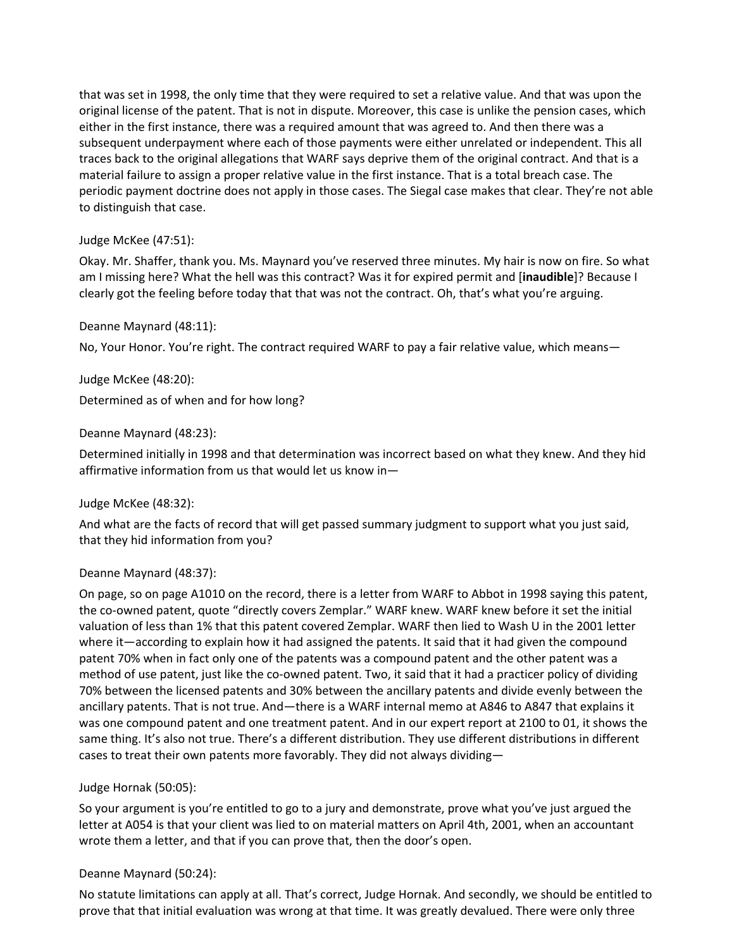that was set in 1998, the only time that they were required to set a relative value. And that was upon the original license of the patent. That is not in dispute. Moreover, this case is unlike the pension cases, which either in the first instance, there was a required amount that was agreed to. And then there was a subsequent underpayment where each of those payments were either unrelated or independent. This all traces back to the original allegations that WARF says deprive them of the original contract. And that is a material failure to assign a proper relative value in the first instance. That is a total breach case. The periodic payment doctrine does not apply in those cases. The Siegal case makes that clear. They're not able to distinguish that case.

# Judge McKee (47:51):

Okay. Mr. Shaffer, thank you. Ms. Maynard you've reserved three minutes. My hair is now on fire. So what am I missing here? What the hell was this contract? Was it for expired permit and [**inaudible**]? Because I clearly got the feeling before today that that was not the contract. Oh, that's what you're arguing.

# Deanne Maynard (48:11):

No, Your Honor. You're right. The contract required WARF to pay a fair relative value, which means—

# Judge McKee (48:20):

Determined as of when and for how long?

# Deanne Maynard (48:23):

Determined initially in 1998 and that determination was incorrect based on what they knew. And they hid affirmative information from us that would let us know in—

# Judge McKee (48:32):

And what are the facts of record that will get passed summary judgment to support what you just said, that they hid information from you?

# Deanne Maynard (48:37):

On page, so on page A1010 on the record, there is a letter from WARF to Abbot in 1998 saying this patent, the co-owned patent, quote "directly covers Zemplar." WARF knew. WARF knew before it set the initial valuation of less than 1% that this patent covered Zemplar. WARF then lied to Wash U in the 2001 letter where it—according to explain how it had assigned the patents. It said that it had given the compound patent 70% when in fact only one of the patents was a compound patent and the other patent was a method of use patent, just like the co-owned patent. Two, it said that it had a practicer policy of dividing 70% between the licensed patents and 30% between the ancillary patents and divide evenly between the ancillary patents. That is not true. And—there is a WARF internal memo at A846 to A847 that explains it was one compound patent and one treatment patent. And in our expert report at 2100 to 01, it shows the same thing. It's also not true. There's a different distribution. They use different distributions in different cases to treat their own patents more favorably. They did not always dividing—

# Judge Hornak (50:05):

So your argument is you're entitled to go to a jury and demonstrate, prove what you've just argued the letter at A054 is that your client was lied to on material matters on April 4th, 2001, when an accountant wrote them a letter, and that if you can prove that, then the door's open.

# Deanne Maynard (50:24):

No statute limitations can apply at all. That's correct, Judge Hornak. And secondly, we should be entitled to prove that that initial evaluation was wrong at that time. It was greatly devalued. There were only three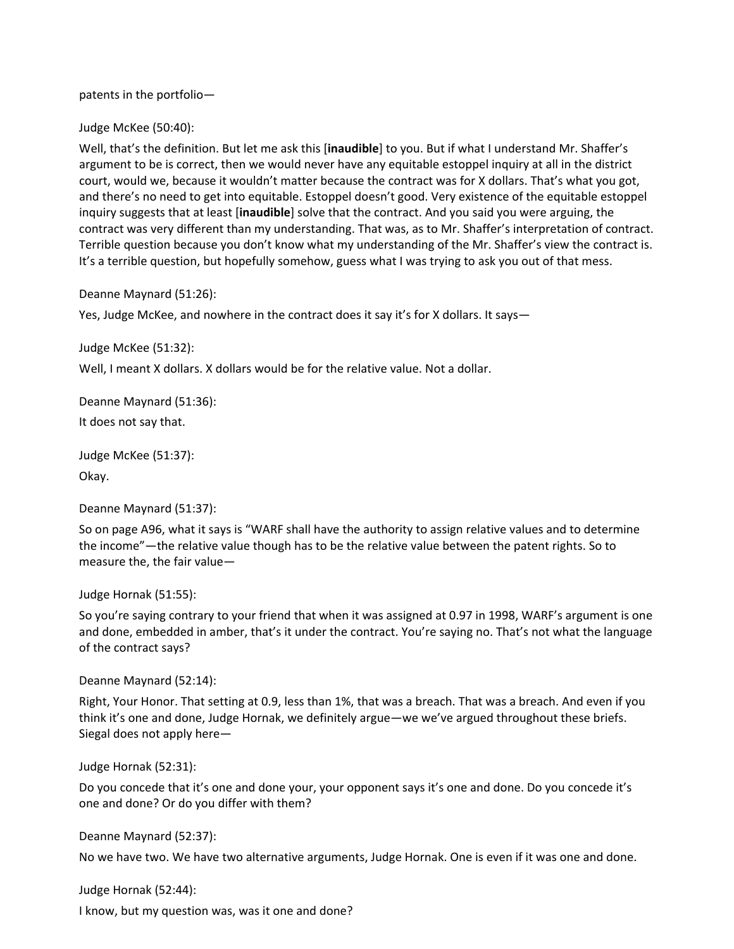patents in the portfolio—

Judge McKee (50:40):

Well, that's the definition. But let me ask this [**inaudible**] to you. But if what I understand Mr. Shaffer's argument to be is correct, then we would never have any equitable estoppel inquiry at all in the district court, would we, because it wouldn't matter because the contract was for X dollars. That's what you got, and there's no need to get into equitable. Estoppel doesn't good. Very existence of the equitable estoppel inquiry suggests that at least [**inaudible**] solve that the contract. And you said you were arguing, the contract was very different than my understanding. That was, as to Mr. Shaffer's interpretation of contract. Terrible question because you don't know what my understanding of the Mr. Shaffer's view the contract is. It's a terrible question, but hopefully somehow, guess what I was trying to ask you out of that mess.

Deanne Maynard (51:26):

Yes, Judge McKee, and nowhere in the contract does it say it's for X dollars. It says-

Judge McKee (51:32):

Well, I meant X dollars. X dollars would be for the relative value. Not a dollar.

Deanne Maynard (51:36):

It does not say that.

Judge McKee (51:37): Okay.

Deanne Maynard (51:37):

So on page A96, what it says is "WARF shall have the authority to assign relative values and to determine the income"—the relative value though has to be the relative value between the patent rights. So to measure the, the fair value—

Judge Hornak (51:55):

So you're saying contrary to your friend that when it was assigned at 0.97 in 1998, WARF's argument is one and done, embedded in amber, that's it under the contract. You're saying no. That's not what the language of the contract says?

Deanne Maynard (52:14):

Right, Your Honor. That setting at 0.9, less than 1%, that was a breach. That was a breach. And even if you think it's one and done, Judge Hornak, we definitely argue—we we've argued throughout these briefs. Siegal does not apply here—

Judge Hornak (52:31):

Do you concede that it's one and done your, your opponent says it's one and done. Do you concede it's one and done? Or do you differ with them?

Deanne Maynard (52:37):

No we have two. We have two alternative arguments, Judge Hornak. One is even if it was one and done.

Judge Hornak (52:44):

I know, but my question was, was it one and done?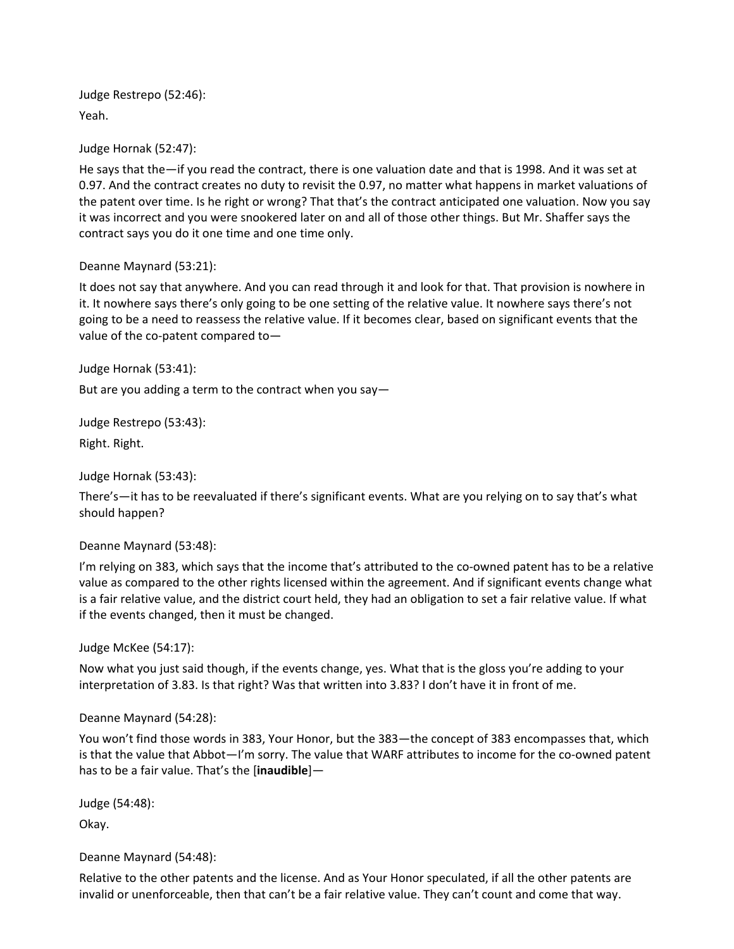Judge Restrepo (52:46): Yeah.

Judge Hornak (52:47):

He says that the—if you read the contract, there is one valuation date and that is 1998. And it was set at 0.97. And the contract creates no duty to revisit the 0.97, no matter what happens in market valuations of the patent over time. Is he right or wrong? That that's the contract anticipated one valuation. Now you say it was incorrect and you were snookered later on and all of those other things. But Mr. Shaffer says the contract says you do it one time and one time only.

# Deanne Maynard (53:21):

It does not say that anywhere. And you can read through it and look for that. That provision is nowhere in it. It nowhere says there's only going to be one setting of the relative value. It nowhere says there's not going to be a need to reassess the relative value. If it becomes clear, based on significant events that the value of the co-patent compared to—

Judge Hornak (53:41):

But are you adding a term to the contract when you say—

Judge Restrepo (53:43):

Right. Right.

Judge Hornak (53:43):

There's—it has to be reevaluated if there's significant events. What are you relying on to say that's what should happen?

Deanne Maynard (53:48):

I'm relying on 383, which says that the income that's attributed to the co-owned patent has to be a relative value as compared to the other rights licensed within the agreement. And if significant events change what is a fair relative value, and the district court held, they had an obligation to set a fair relative value. If what if the events changed, then it must be changed.

Judge McKee (54:17):

Now what you just said though, if the events change, yes. What that is the gloss you're adding to your interpretation of 3.83. Is that right? Was that written into 3.83? I don't have it in front of me.

Deanne Maynard (54:28):

You won't find those words in 383, Your Honor, but the 383—the concept of 383 encompasses that, which is that the value that Abbot—I'm sorry. The value that WARF attributes to income for the co-owned patent has to be a fair value. That's the [**inaudible**]—

Judge (54:48):

Okay.

Deanne Maynard (54:48):

Relative to the other patents and the license. And as Your Honor speculated, if all the other patents are invalid or unenforceable, then that can't be a fair relative value. They can't count and come that way.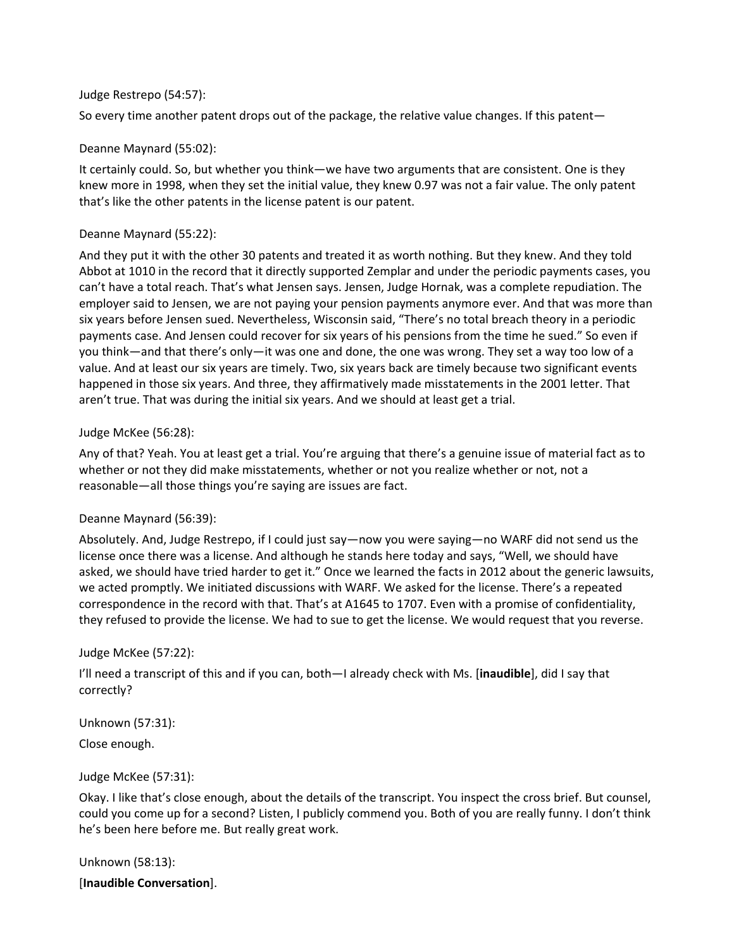#### Judge Restrepo (54:57):

So every time another patent drops out of the package, the relative value changes. If this patent—

# Deanne Maynard (55:02):

It certainly could. So, but whether you think—we have two arguments that are consistent. One is they knew more in 1998, when they set the initial value, they knew 0.97 was not a fair value. The only patent that's like the other patents in the license patent is our patent.

#### Deanne Maynard (55:22):

And they put it with the other 30 patents and treated it as worth nothing. But they knew. And they told Abbot at 1010 in the record that it directly supported Zemplar and under the periodic payments cases, you can't have a total reach. That's what Jensen says. Jensen, Judge Hornak, was a complete repudiation. The employer said to Jensen, we are not paying your pension payments anymore ever. And that was more than six years before Jensen sued. Nevertheless, Wisconsin said, "There's no total breach theory in a periodic payments case. And Jensen could recover for six years of his pensions from the time he sued." So even if you think—and that there's only—it was one and done, the one was wrong. They set a way too low of a value. And at least our six years are timely. Two, six years back are timely because two significant events happened in those six years. And three, they affirmatively made misstatements in the 2001 letter. That aren't true. That was during the initial six years. And we should at least get a trial.

#### Judge McKee (56:28):

Any of that? Yeah. You at least get a trial. You're arguing that there's a genuine issue of material fact as to whether or not they did make misstatements, whether or not you realize whether or not, not a reasonable—all those things you're saying are issues are fact.

# Deanne Maynard (56:39):

Absolutely. And, Judge Restrepo, if I could just say—now you were saying—no WARF did not send us the license once there was a license. And although he stands here today and says, "Well, we should have asked, we should have tried harder to get it." Once we learned the facts in 2012 about the generic lawsuits, we acted promptly. We initiated discussions with WARF. We asked for the license. There's a repeated correspondence in the record with that. That's at A1645 to 1707. Even with a promise of confidentiality, they refused to provide the license. We had to sue to get the license. We would request that you reverse.

# Judge McKee (57:22):

I'll need a transcript of this and if you can, both—I already check with Ms. [**inaudible**], did I say that correctly?

Unknown (57:31):

Close enough.

# Judge McKee (57:31):

Okay. I like that's close enough, about the details of the transcript. You inspect the cross brief. But counsel, could you come up for a second? Listen, I publicly commend you. Both of you are really funny. I don't think he's been here before me. But really great work.

Unknown (58:13):

[**Inaudible Conversation**].